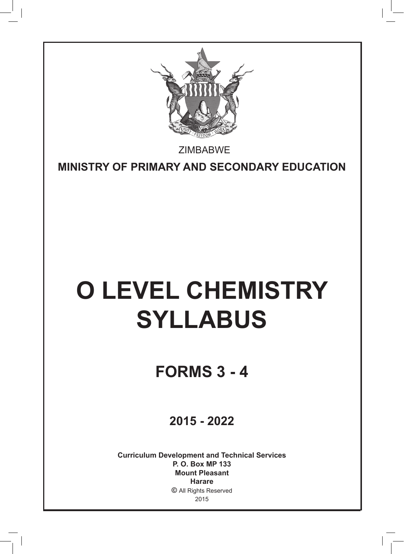

ZIMBABWE

**MINISTRY OF PRIMARY AND SECONDARY EDUCATION**

### **O LEVEL CHEMISTRY SYLLABUS**

### **FORMS 3 - 4**

**2015 - 2022**

**Curriculum Development and Technical Services P. O. Box MP 133 Mount Pleasant Harare ©** All Rights Reserved 2015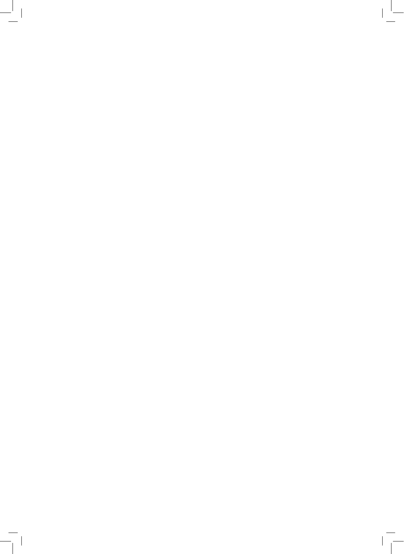$\frac{1}{\sqrt{2}}$  $\frac{1}{1}$ 

 $\frac{1}{\sqrt{1-\frac{1}{2}}}$ 

 $\frac{1}{\sqrt{1-\frac{1}{2}}}\Bigg|_{\frac{1}{2}}$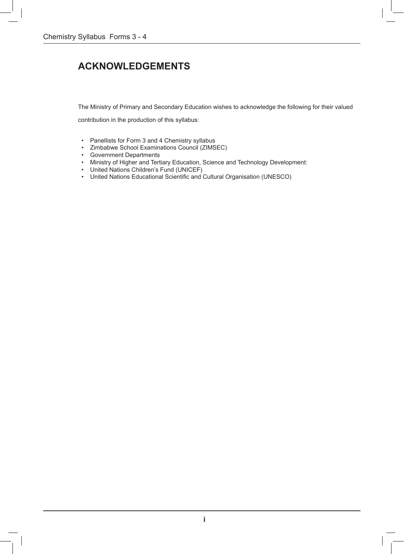### **ACKNOWLEDGEMENTS**

The Ministry of Primary and Secondary Education wishes to acknowledge the following for their valued

contribution in the production of this syllabus:

- • Panellists for Form 3 and 4 Chemistry syllabus
- • Zimbabwe School Examinations Council (ZIMSEC)
- • Government Departments
- Ministry of Higher and Tertiary Education, Science and Technology Development:
- • United Nations Children's Fund (UNICEF)
- • United Nations Educational Scientific and Cultural Organisation (UNESCO)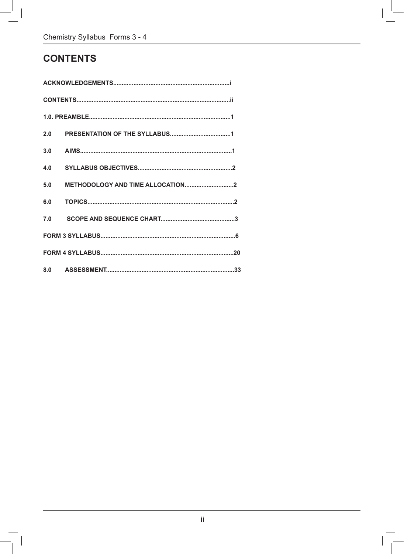### **CONTENTS**

| 4.0 |  |
|-----|--|
|     |  |
|     |  |
| 7.0 |  |
|     |  |
|     |  |
|     |  |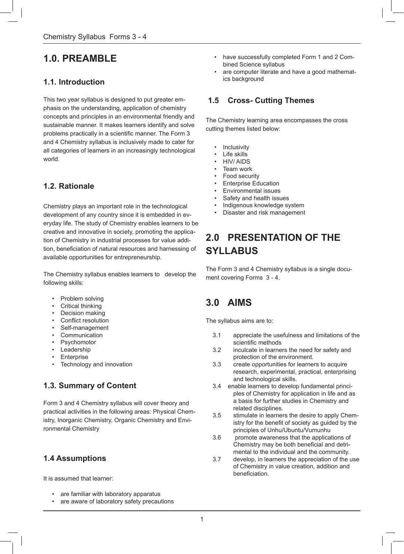### **1.0. PREAMBLE**

#### **1.1. Introduction**

This two year syllabus is designed to put greater emphasis on the understanding, application of chemistry concepts and principles in an environmental friendly and sustainable manner. It makes learners identify and solve problems practically in a scientific manner. The Form 3 and 4 Chemistry syllabus is inclusively made to cater for all categories of learners in an increasingly technological world.

#### **1.2. Rationale**

Chemistry plays an important role in the technological development of any country since it is embedded in everyday life. The study of Chemistry enables learners to be creative and innovative in society, promoting the application of Chemistry in industrial processes for value addition, beneficiation of natural resources and harnessing of available opportunities for entrepreneurship.

The Chemistry syllabus enables learners to develop the following skills:

- Problem solving
- **Critical thinking**
- Decision making
- • Conflict resolution
- • Self-management
- • Communication
- • Psychomotor
- • Leadership
- • Enterprise
- Technology and innovation

### **1.3. Summary of Content**

Form 3 and 4 Chemistry syllabus will cover theory and practical activities in the following areas: Physical Chemistry, Inorganic Chemistry, Organic Chemistry and Environmental Chemistry

#### **1.4 Assumptions**

It is assumed that learner:

- are familiar with laboratory apparatus
- are aware of laboratory safety precautions
- have successfully completed Form 1 and 2 Combined Science syllabus
- are computer literate and have a good mathematics background

### **1.5 Cross- Cutting Themes**

The Chemistry learning area encompasses the cross cutting themes listed below:

- **Inclusivity**
- **Life skills**
- **HIV/ AIDS**
- Team work
- Food security
- **Enterprise Education**
- **Environmental issues**
- Safety and health issues
- Indigenous knowledge system
- Disaster and risk management

### **2.0 PRESENTATION OF THE SYLLABUS**

The Form 3 and 4 Chemistry syllabus is a single document covering Forms 3 - 4.

### **3.0 AIMS**

The syllabus aims are to:

- 3.1 appreciate the usefulness and limitations of the scientific methods
- 3.2 inculcate in learners the need for safety and protection of the environment.
- 3.3 create opportunities for learners to acquire research, experimental, practical, enterprising and technological skills.
- 3.4 enable learners to develop fundamental principles of Chemistry for application in life and as a basis for further studies in Chemistry and related disciplines.
- 3.5 stimulate in learners the desire to apply Chemistry for the benefit of society as guided by the principles of Unhu/Ubuntu/Vumunhu
- 3.6 promote awareness that the applications of Chemistry may be both beneficial and detrimental to the individual and the community.
- 3.7 develop, in learners the appreciation of the use of Chemistry in value creation, addition and beneficiation.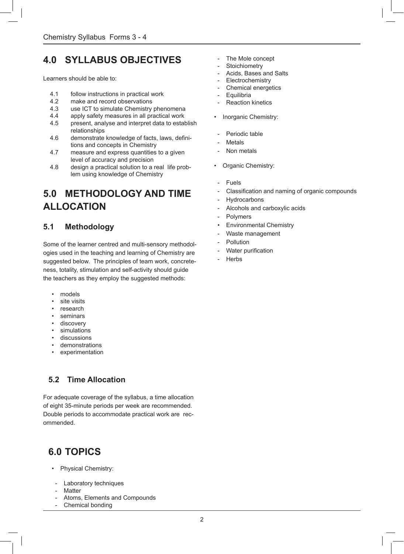### **4.0 SYLLABUS OBJECTIVES**

Learners should be able to:

- 4.1 follow instructions in practical work
- 4.2 make and record observations
- 4.3 use ICT to simulate Chemistry phenomena
- 4.4 apply safety measures in all practical work
- 4.5 present, analyse and interpret data to establish relationships
- 4.6 demonstrate knowledge of facts, laws, definitions and concepts in Chemistry
- 4.7 measure and express quantities to a given level of accuracy and precision
- 4.8 design a practical solution to a real life problem using knowledge of Chemistry

### **5.0 METHODOLOGY AND TIME ALLOCATION**

#### **5.1 Methodology**

Some of the learner centred and multi-sensory methodologies used in the teaching and learning of Chemistry are suggested below. The principles of team work, concreteness, totality, stimulation and self-activity should guide the teachers as they employ the suggested methods:

- models
- site visits
- • research
- • seminars
- • discovery
- • simulations
- discussions
- demonstrations
- experimentation

#### **5.2 Time Allocation**

For adequate coverage of the syllabus, a time allocation of eight 35-minute periods per week are recommended. Double periods to accommodate practical work are recommended.

### **6.0 TOPICS**

- • Physical Chemistry:
- Laboratory techniques
- **Matter**
- Atoms, Elements and Compounds
- Chemical bonding
- The Mole concept
- Stoichiometry
- Acids, Bases and Salts
- **Electrochemistry**
- Chemical energetics
- **Equilibria**
- Reaction kinetics
- Inorganic Chemistry:
- Periodic table
- **Metals**
- Non metals
- Organic Chemistry:
- **Fuels**
- Classification and naming of organic compounds
- Hydrocarbons
- Alcohols and carboxylic acids
- **Polymers**
- **Environmental Chemistry**
- Waste management
- **Pollution**
- **Water purification**
- **Herbs**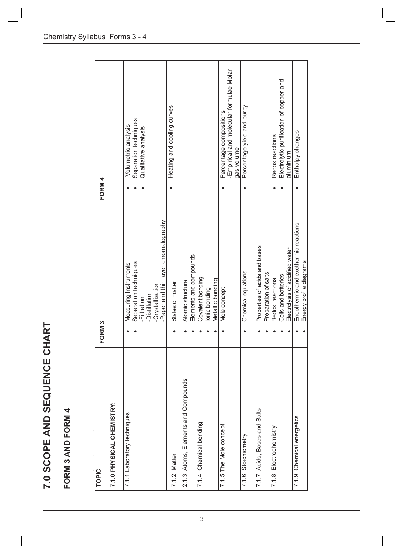| ı<br>I |
|--------|
|        |
|        |
|        |
| ı      |
|        |
|        |
|        |
| ı<br>þ |
| ľ      |

### FORM 3 AND FORM 4 **FORM 3 AND FORM 4**

| <b>TOPIC</b>                        | FORM <sub>3</sub>                    | FORM 4                                                |
|-------------------------------------|--------------------------------------|-------------------------------------------------------|
| 7.1.0 PHYSICAL CHEMISTRY:           |                                      |                                                       |
| 7.1.1 Laboratory techniques         | Measuring Instruments                | Volumetric analysis                                   |
|                                     | Separation techniques                | Separation techniques                                 |
|                                     | -Filtration                          | Qualitative analysis                                  |
|                                     | -Crystallisation<br>-Distillation    |                                                       |
|                                     | -Paper and thin layer chromatography |                                                       |
| 7.1.2 Matter                        | States of matter<br>$\bullet$        | Heating and cooling curves                            |
| 2.1.3 Atoms, Elements and Compounds | Atomic structure                     |                                                       |
|                                     | Elements and compounds<br>$\bullet$  |                                                       |
| 7.1.4 Chemical bonding              | Covalent bonding                     |                                                       |
|                                     | lonic bonding                        |                                                       |
|                                     | Metallic bonding                     |                                                       |
| 7.1.5 The Mole concept              | Mole concept                         | Percentage compositions                               |
|                                     |                                      | -Empirical and molecular formulae Molar<br>gas volume |
| 7.1.6 Stoichiometry                 | Chemical equations                   | Percentage yield and purity                           |
| 7.1.7 Acids, Bases and Salts        | Properties of acids and bases        |                                                       |
|                                     | Preparation of salts                 |                                                       |
| 7.1.8 Electrochemistry              | Redox reactions                      | Redox reactions                                       |
|                                     | Cells and batteries                  | Electrolytic purification of copper and               |
|                                     | Electrolysis of acidified water      | aluminium                                             |
| 7.1.9 Chemical energetics           | Endothermic and exothermic reactions | Enthalpy changes                                      |
|                                     | Energy profile diagrams              |                                                       |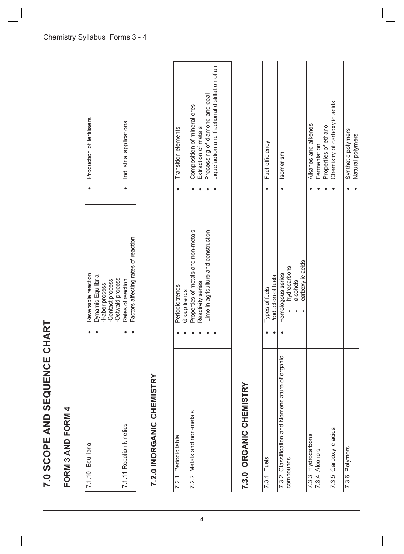| ı      |
|--------|
|        |
|        |
|        |
| l      |
|        |
|        |
|        |
|        |
|        |
|        |
| ı      |
| ı      |
|        |
| I      |
|        |
|        |
|        |
| ı      |
|        |
| ī      |
| ſ<br>I |

### FORM 3 AND FORM 4 **FORM 3 AND FORM 4**

| 7.1.10 Equilibria       | Reversible reaction                 | Production of fertilisers |
|-------------------------|-------------------------------------|---------------------------|
|                         | Dynamic Equilibria                  |                           |
|                         | -Haber process                      |                           |
|                         | Contact process                     |                           |
|                         | -Ostwald process                    |                           |
| .1.11 Reaction kinetics | Rates of reaction                   | Industrial applications   |
|                         | Factors affecting rates of reaction |                           |
|                         |                                     |                           |

# 7.2.0 INORGANIC CHEMISTRY **7.2.0 INORGANIC CHEMISTRY**

| 2.1 Periodic table         | Periodic trends                      | • Transition elements                           |
|----------------------------|--------------------------------------|-------------------------------------------------|
|                            | Group trends                         |                                                 |
| .2.2 Metals and non-metals | Properties of metals and non-metals  | Composition of mineral ores                     |
|                            | Reactivity series                    | Extraction of metals                            |
|                            | lime in agriculture and construction | Processing of diamond and coal                  |
|                            |                                      | -iquefaction and fractional distillation of air |
|                            |                                      |                                                 |
|                            |                                      |                                                 |

4

# 7.3.0 ORGANIC CHEMISTRY **7.3.0 ORGANIC CHEMISTRY**

| 7.3.1 Fuels                                      | Types of fuels      | Fuel efficiency               |
|--------------------------------------------------|---------------------|-------------------------------|
|                                                  | Production of fuels |                               |
| 7.3.2 Classification and Nomenclature of organic | Homologous series   | Isomerism                     |
| compounds                                        | hydrocarbons        |                               |
|                                                  | alcohols            |                               |
|                                                  | carboxylic acids    |                               |
| 7.3.3 Hydrocarbons                               |                     | Alkanes and alkenes           |
| 7.3.4 Alcohols                                   |                     | Fermentation                  |
|                                                  |                     | Properties of ethanol         |
| 7.3.5 Carboxylic acids                           |                     | Chemistry of carboxylic acids |
| 7.3.6 Polymers                                   |                     | Synthetic polymers            |
|                                                  |                     | Natural polymers              |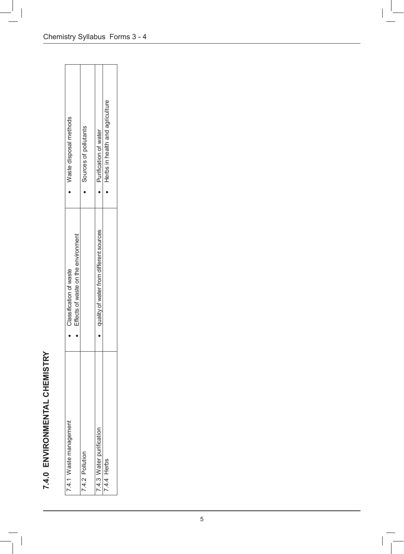| I           |
|-------------|
|             |
| ٠<br>ı      |
|             |
|             |
|             |
| ֠           |
|             |
|             |
|             |
| I<br>l<br>Ï |
| ſ           |

| 4.1 Waste management     | Classification of waste                 | Waste disposal methods          |
|--------------------------|-----------------------------------------|---------------------------------|
|                          | Effects of waste on the environment     |                                 |
| 7.4.2 Pollution          |                                         | Sources of pollutants           |
|                          |                                         |                                 |
| 7.4.3 Water purification | quality of water from different sources | • Purification of water         |
| 7.4.4 Herbs              |                                         | Herbs in health and agriculture |
|                          |                                         |                                 |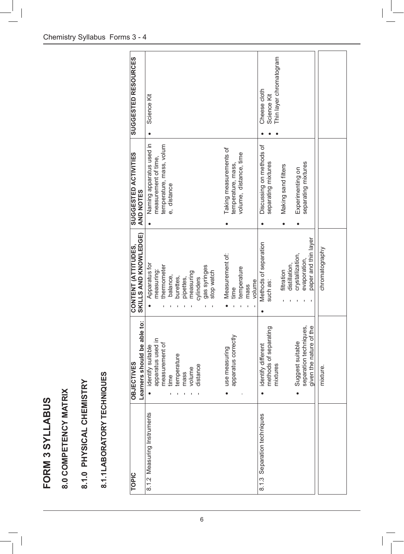FORM 3 SYLLABUS **FORM 3 SYLLABUS**

8.0 COMPETENCY MATRIX **8.0 COMPETENCY MATRIX**

8.1.0 PHYSICAL CHEMISTRY **8.1.0 PHYSICAL CHEMISTRY**

### 8.1.1LABORATORY TECHNIQUES **8.1.1LABORATORY TECHNIQUES 8.1.0 PHYSICAL CHEMISTRY**

| SUGGESTED RESOURCES                              | Science Kit                                                                                                                              |                                                                        | Thin layer chromatogram<br>Cheese cloth<br>Science Kit                                                                           |                |
|--------------------------------------------------|------------------------------------------------------------------------------------------------------------------------------------------|------------------------------------------------------------------------|----------------------------------------------------------------------------------------------------------------------------------|----------------|
| SUGGESTED ACTIVITIES<br>AND NOTES                | Naming apparatus used in<br>temperature, mass, volum<br>measurement of time,<br>e, distance                                              | Taking measurements of<br>volume, distance, time<br>temperature, mass, | Discussing on methods of<br>separating mixtures<br>separating mixtures<br>Making sand filters<br>Experimenting on                |                |
| SKILLS AND KNOWLEDGE)<br>CONTENT (ATTITUDES)     | Apparatus for<br>thermometer<br>gas syringes<br>measuring:<br>stop watch<br>measuring<br>balance,<br>burettes,<br>cylinders<br>pipettes, | Measurement of:<br>temperature<br>volume<br>mass<br>time               | paper and thin layer<br>Methods of separation<br>crystallization,<br>evaporation,<br>distillation<br>filtration<br>such as:      | chromatography |
| Learners should be able to:<br><b>OBJECTIVES</b> | apparatus used in<br>measurement of<br>identify suitable<br>temperature<br>distance<br>volume<br>mass<br>time                            | apparatus correctly<br>use measuring                                   | separation techniques,<br>given the nature of the<br>methods of separating<br>Suggest suitable<br>identify different<br>mixtures | mixture.       |
| TOPIC                                            | 8.1.2 Measuring Instruments                                                                                                              |                                                                        | 8.1.3 Separation techniques                                                                                                      |                |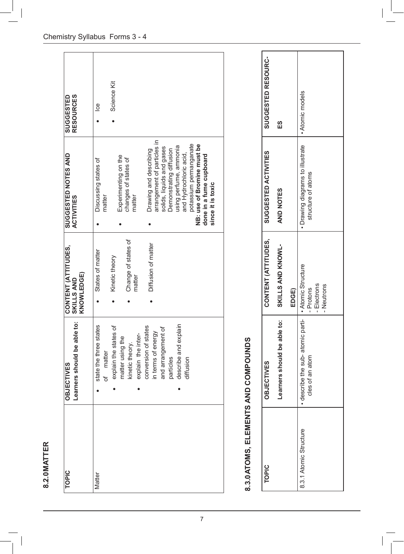| Ľ |
|---|
| п |
|   |

 $\begin{array}{c} \hline \end{array}$ 

| <b>RESOURCES</b><br><b>SUGGESTED</b>             | Science Kit<br><u>ප</u>                                                                                                                                                                                                                                                                                                                                               |
|--------------------------------------------------|-----------------------------------------------------------------------------------------------------------------------------------------------------------------------------------------------------------------------------------------------------------------------------------------------------------------------------------------------------------------------|
| SUGGESTED NOTES AND<br><b>ACTIVITIES</b>         | arrangement of particles in<br>potassium permanganate<br>NB: use of Bromine must be<br>using perfume, ammonia<br>solids, liquids and gases<br>Demonstrating diffusion<br>Drawing and describing<br>and Hydrochloric acid,<br>done in a fume cupboard<br>Experimenting on the<br>changes of states of<br>Discussing states of<br>since it is toxic<br>matter<br>matter |
| CONTENT (ATTITUDES,<br>KNOWLEDGE)<br>SKILLS AND  | Change of states of<br>Diffusion of matter<br>States of matter<br>Kinetic theory<br>matter                                                                                                                                                                                                                                                                            |
| Learners should be able to:<br><b>OBJECTIVES</b> | state the three states<br>explain the states of<br>conversion of states<br>and arrangement of<br>describe and explair<br>in terms of energy<br>explain the inter-<br>matter using the<br>kinetic theory.<br>of matter<br>particles<br>diffusion                                                                                                                       |
| <b>TOPIC</b>                                     | Matter                                                                                                                                                                                                                                                                                                                                                                |

# 8.3.0ATOMS, ELEMENTS AND COMPOUNDS **8.3.0ATOMS, ELEMENTS AND COMPOUNDS**

| <b>TOPIC</b>           | <b>OBJECTIVES</b>                                                        | CONTENT (ATTITUDES,                       | SUGGESTED ACTIVITIES                                   | <b>SUGGESTED RESOURC-</b> |
|------------------------|--------------------------------------------------------------------------|-------------------------------------------|--------------------------------------------------------|---------------------------|
|                        | Learners should be able to:                                              | SKILLS AND KNOWL-                         | AND NOTES                                              | S<br>ES                   |
|                        |                                                                          | EDGE)                                     |                                                        |                           |
| 8.3.1 Atomic Structure | • describe the sub-atomic parti-   • Atomic Structure<br>cles of an atom | Electrons<br>- Neutrons<br>- Protons<br>ī | • Drawing diagrams to illustrate<br>structure of atoms | Atomic models             |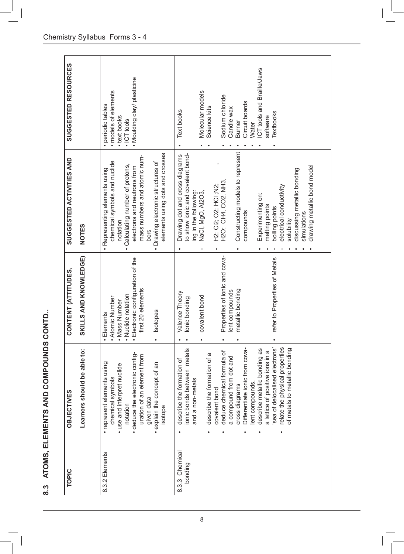| TOPIC                     | <b>OBJECTIVES</b>                                                                                                                                                                                                                                                                                                                                                                                                                  | CONTENT (ATTITUDES,                                                                                                                                                       | SUGGESTED ACTIVITIES AND                                                                                                                                                                                                                                                                                                                                                                         | SUGGESTED RESOURCES                                                                                                                                                                       |
|---------------------------|------------------------------------------------------------------------------------------------------------------------------------------------------------------------------------------------------------------------------------------------------------------------------------------------------------------------------------------------------------------------------------------------------------------------------------|---------------------------------------------------------------------------------------------------------------------------------------------------------------------------|--------------------------------------------------------------------------------------------------------------------------------------------------------------------------------------------------------------------------------------------------------------------------------------------------------------------------------------------------------------------------------------------------|-------------------------------------------------------------------------------------------------------------------------------------------------------------------------------------------|
|                           | Learners should be able to:                                                                                                                                                                                                                                                                                                                                                                                                        | LLS AND KNOWLEDGE)<br>li>s                                                                                                                                                | <b>NOTES</b>                                                                                                                                                                                                                                                                                                                                                                                     |                                                                                                                                                                                           |
| 8.3.2 Elements            | · deduce the electronic config-<br>uration of an element from<br>· represent elements using<br>explain the concept of an<br>· use and interpret nuclide<br>chemical symbols<br>given data<br>notation<br>isotope                                                                                                                                                                                                                   | · Electronic configuration of the<br>first 20 elements<br>• Nuclide notation<br>. Atomic Number<br>. Mass Number<br>Isotopes<br>· Elements                                | elements using dots and crosses<br>mass numbers and atomic num-<br>chemical symbols and nuclide<br>· Drawing electronic structures of<br>. Calculating number of protons,<br>electrons and neutrons from<br>· Representing elements using<br>notation<br>bers                                                                                                                                    | · Moulding clay/ plasticine<br>· models of elements<br>· periodic tables<br>• text books<br>$\cdot$ ICT tools                                                                             |
| 8.3.3 Chemical<br>bonding | relate the physical properties<br>sea of delocalised electrons'<br>Differentiate ionic from cova-<br>describe metallic bonding as<br>ionic bonds between metals<br>of metals to metallic bonding<br>deduce chemical formula of<br>a lattice of positive ions in a<br>describe the formation of a<br>a compound from dot and<br>describe the formation of<br>and a non-metals<br>lent compounds.<br>cross diagrams<br>covalent bond | Properties of ionic and cova-<br>refer to Properties of Metals<br>metallic bonding<br>lent compounds<br>Valence Theory<br>alent bond<br>ic bonding<br>$\overline{5}$<br>š | Constructing models to represent<br>to show ionic and covalent bond-<br>Drawing dot and cross diagrams<br>drawing metallic bond model<br>discussing metallic bonding<br>H2O; CH4, CO2, NH3,<br>H2; Cl2; O2; HCl; N2;<br>electrical conductivity<br>ing in the following:<br>NaCl, MgO, Al2O3,<br>Experimenting on:<br>melting points<br>boiling points<br>compounds<br>simulations<br>solubility | ICT tools and Braille/Jaws<br>Molecular models<br>Sodium chloride<br>Circuit boards<br>Science kits<br>Candle wax<br>Text books<br><b>Textbooks</b><br>software<br><b>Burner</b><br>Water |

Chemistry Syllabus Forms 3 - 4

8.3 ATOMS, ELEMENTS AND COMPOUNDS CONTD. **8.3 ATOMS, ELEMENTS AND COMPOUNDS CONTD..**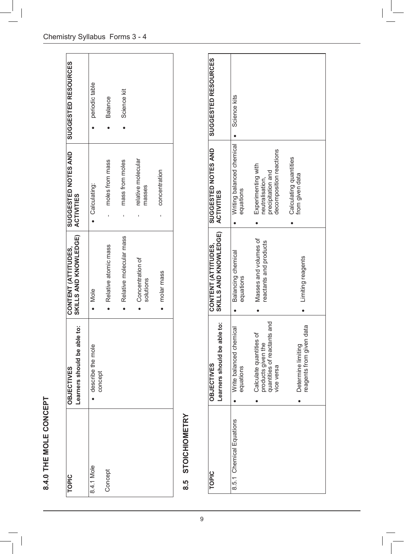| í. |
|----|
|    |
|    |
|    |
|    |
|    |
|    |
| ī  |
|    |
|    |
| ۹  |
| l  |

| describe the mole<br>concept<br>8.4.1 Mole<br>Concept | Learners should be able to:   | <b>ACTIVITIES</b>            |                |
|-------------------------------------------------------|-------------------------------|------------------------------|----------------|
|                                                       | Mole                          | Calculating:                 | periodic table |
|                                                       | Relative atomic mass          | moles from mass              | <b>Balance</b> |
|                                                       | Relative molecular mass       | mass from moles              | Science kit    |
|                                                       | Concentration of<br>solutions | relative molecular<br>masses |                |
|                                                       | molar mass                    | concentration                |                |

### 8.5 STOICHIOMETRY **8.5 STOICHIOMETRY**

| SUGGESTED RESOURCES                                  | Science kits                           |                                                                                            |                                                |
|------------------------------------------------------|----------------------------------------|--------------------------------------------------------------------------------------------|------------------------------------------------|
| SUGGESTED NOTES AND<br><b>ACTIVITIES</b>             | Writing balanced chemical<br>equations | decomposition reactions<br>Experimenting with<br>precipitation and<br>neutralisation,      | Calculating quantities<br>from given data      |
| SKILLS AND KNOWLEDGE)<br>CONTENT (ATTITUDES,         | Balancing chemical<br>equations        | Masses and volumes of<br>reactants and products                                            | Limiting reagents                              |
| ö<br>Learners should be able to<br><b>OBJECTIVES</b> | Write balanced chemical<br>equations   | quantities of reactants and<br>Calculate quantities of<br>products given the<br>vice versa | reagents from given data<br>Determine limiting |
| <b>TOPIC</b>                                         | 8.5.1 Chemical Equations               |                                                                                            |                                                |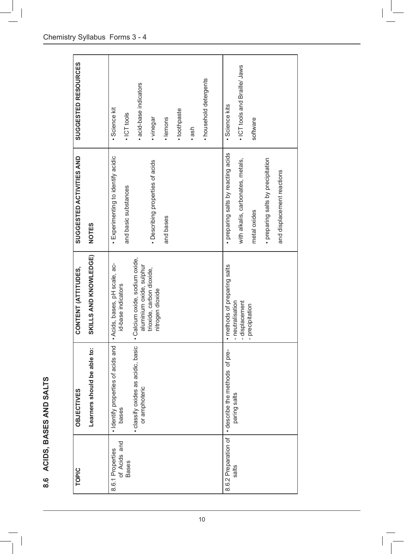| <b>TOPIC</b>                 | <b>OBJECTIVES</b>                                   | <b>ITENT (ATTITUDES,</b><br><b>NOC</b>                                    | SUGGESTED ACTIVITIES AND            | SUGGESTED RESOURCES           |
|------------------------------|-----------------------------------------------------|---------------------------------------------------------------------------|-------------------------------------|-------------------------------|
|                              | Learners should be able to:                         | SKILLS AND KNOWLEDGE)                                                     | <b>NOTES</b>                        |                               |
|                              |                                                     |                                                                           |                                     |                               |
| 8.6.1 Properties             | · Identify properties of acids and                  | . Acids, bases, pH scale, ac-                                             | · Experimenting to identify acidic  | · Science kit                 |
| of Acids and<br><b>Bases</b> | bases                                               | id-base indicators                                                        | and basic substances                | $\cdot$ ICT tools             |
|                              | · classify oxides as acidic, basic<br>or amphoteric | · Calcium oxide, sodium oxide,                                            |                                     | · acid-base indicators        |
|                              |                                                     | aluminium oxide, sulphur<br>trioxide, carbon dioxide,<br>nitrogen dioxide | · Describing properties of acids    | · vinegar                     |
|                              |                                                     |                                                                           | and bases                           | · lemons                      |
|                              |                                                     |                                                                           |                                     | • toothpaste                  |
|                              |                                                     |                                                                           |                                     | ·ash                          |
|                              |                                                     |                                                                           |                                     | • household detergents        |
|                              |                                                     |                                                                           |                                     |                               |
| 8.6.2 Preparation of         | • describe the methods of pre-                      | · methods of preparing salts                                              | · preparing salts by reacting acids | · Science kits                |
| salts                        | paring salts                                        | - neutralisation<br>- displacement                                        | with alkalis, carbonates, metals,   | . ICT tools and Braille/ Jaws |
|                              |                                                     | precipitation                                                             | metal oxides                        | software                      |
|                              |                                                     |                                                                           | · preparing salts by precipitation  |                               |
|                              |                                                     |                                                                           | and displacement reactions          |                               |
|                              |                                                     |                                                                           |                                     |                               |

8.6 ACIDS, BASES AND SALTS **8.6 ACIDS, BASES AND SALTS**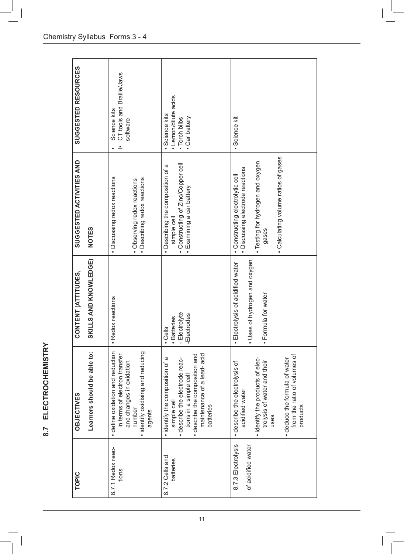| <b>TOPIC</b>                             | <b>OBJECTIVES</b>                                                                                                                                                                                         | CONTENT (ATTITUDES,                                                                       | SUGGESTED ACTIVITIES AND                                                                                                                                 | SUGGESTED RESOURCES                                                  |
|------------------------------------------|-----------------------------------------------------------------------------------------------------------------------------------------------------------------------------------------------------------|-------------------------------------------------------------------------------------------|----------------------------------------------------------------------------------------------------------------------------------------------------------|----------------------------------------------------------------------|
|                                          | Learners should be able to:                                                                                                                                                                               | SKILLS AND KNOWLEDGE)                                                                     | <b>NOTES</b>                                                                                                                                             |                                                                      |
| 8.7.1 Redox reac-<br>tions               | · identify oxidising and reducing<br>· define oxidation and reduction<br>in terms of electron transfer<br>and changes in oxidation<br>number<br>agents                                                    | · Redox reactions                                                                         | Discussing redox reactions<br>· Describing redox reactions<br>• Observing redox reactions                                                                | CT tools and Braille/Jaws<br>Science kits<br>software<br>$\bullet$   |
| 8.7.2 Cells and<br>batteries             | maintenance of a lead-acid<br>· describe the composition and<br>· describe the electrode reac-<br>• identify the composition of a<br>tions in a simple cell<br>simple cell<br>batteries                   | - Electrolyte<br>-Electrodes<br>· Batteries<br>• Cells                                    | • Constructing of Zinc/Copper cell<br>• Describing the composition of a<br>• Examining a car battery<br>simple cell                                      | • Lemon/dilute acids<br>Science kits<br>Car battery<br>• Torch bilbs |
| 8.7.3 Electrolysis<br>of acidified water | from the ratio of volumes of<br>· identify the products of elec-<br>· deduce the formula of water<br>trolysis of water and their<br>• describe the electrolysis of<br>acidified water<br>products<br>uses | • Uses of hydrogen and oxygen<br>· Electrolysis of acidified water<br>· Formula for water | • Calculating volume ratios of gases<br>· Testing for hydrogen and oxygen<br>Discussing electrode reactions<br>• Constructing electrolytic cell<br>gases | · Science kit                                                        |

**8.7 ELECTROCHEMISTRY**

8.7 ELECTROCHEMISTRY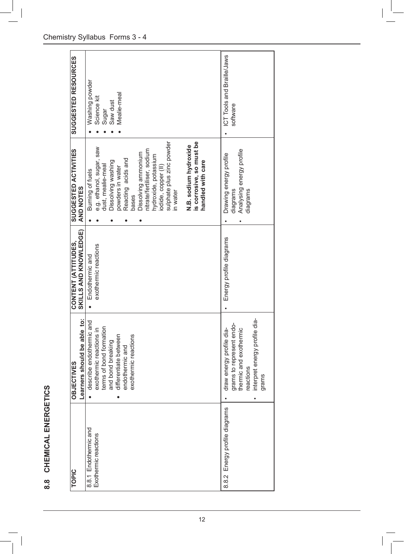| TOPIC                            | <b>OBJECTIVES</b>                                  | <b>CONTENT (ATTITUDES,</b> | <b>SUGGESTED ACTIVITIES</b>                       | <b>SUGGESTED RESOURCES</b> |
|----------------------------------|----------------------------------------------------|----------------------------|---------------------------------------------------|----------------------------|
|                                  | Learners should be able to                         | SKILLS AND KNOWLEDGE)      | <b>AND NOTES</b>                                  |                            |
| 8.8.1 Endothermic and            | describe endothermic and                           | Endothermic and            | Burning of fuels                                  | Washing powder             |
| Exothermic reactions             | exothermic reactions in                            | exothermic reactions       | e.g. ethanol, sugar, saw                          | Science kit                |
|                                  | terms of bond formation                            |                            | dust, mealie-meal                                 | Sugar                      |
|                                  | and bond breaking                                  |                            | Dissolving washing                                | Saw dust                   |
|                                  | differentiate between                              |                            | powders in water                                  | Mealie-meal                |
|                                  | endothermic and                                    |                            | Reacting acids and                                |                            |
|                                  | exothermic reactions                               |                            | bases                                             |                            |
|                                  |                                                    |                            | nitrate/fertiliser, sodium<br>Dissolving ammonium |                            |
|                                  |                                                    |                            | hydroxide, potassium                              |                            |
|                                  |                                                    |                            | iodide, copper (II)                               |                            |
|                                  |                                                    |                            | sulphate plus zinc powder                         |                            |
|                                  |                                                    |                            | in water                                          |                            |
|                                  |                                                    |                            |                                                   |                            |
|                                  |                                                    |                            | N.B. sodium hydroxide                             |                            |
|                                  |                                                    |                            | is corrosive, so must be                          |                            |
|                                  |                                                    |                            | handled with care                                 |                            |
|                                  |                                                    |                            |                                                   |                            |
| Energy profile diagrams<br>8.8.2 | draw energy profile dia-                           | Energy profile diagrams    | Drawing energy profile                            | ICT Tools and Braille/Jaws |
|                                  | grams to represent endo-<br>thermic and exothermic |                            | Analysing energy profile<br>diagrams              | software                   |
|                                  | reactions                                          |                            | diagrams                                          |                            |
|                                  | interpret energy profile dia<br>grams              |                            |                                                   |                            |
|                                  |                                                    |                            |                                                   |                            |

Chemistry Syllabus Forms 3 - 4

**8.8 CHEMICAL ENERGETICS**

8.8 CHEMICAL ENERGETICS

 $\overline{\phantom{a}}$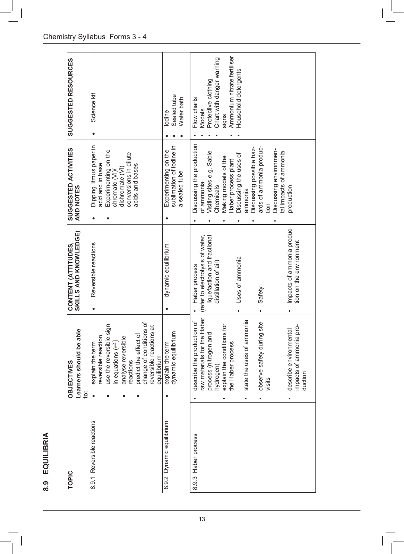| <b>TOPIC</b>                 | <b>OBJECTIVES</b>                                                                                                             | CONTENT (ATTITUDES,                                   | <b>SUGGESTED ACTIVITIES</b>                                                                               | SUGGESTED RESOURCES                              |
|------------------------------|-------------------------------------------------------------------------------------------------------------------------------|-------------------------------------------------------|-----------------------------------------------------------------------------------------------------------|--------------------------------------------------|
|                              | Learners should be able<br>$\ddot{\mathbf{e}}$                                                                                | SKILLS AND KNOWLEDGE)                                 | AND NOTES                                                                                                 |                                                  |
| 8.9.1 Reversible reactions   | use the reversible sign<br>reversible reaction<br>analyse reversible<br>explain the term<br>in equations $\rightleftharpoons$ | Reversible reactions                                  | Dipping litmus paper in<br>Experimenting on the<br>acid and in base<br>dichromate (VI)<br>chromate $(VI)$ | Science kit                                      |
|                              | change of conditions of<br>reversible reactions at<br>predict the effect of<br>equilibrium<br>reactions                       |                                                       | conversions in dilute<br>acids and bases                                                                  |                                                  |
| Dynamic equilibrium<br>8.9.2 | dynamic equilibrium<br>explain the term                                                                                       | dynamic equilibrium                                   | sublimation of iodine in<br>Experimenting on the<br>a sealed tube                                         | Sealed tube<br>Water bath<br>lodine              |
| Haber process<br>8.9.3       | raw materials for the Haber<br>describe the production of                                                                     | (refer to electrolysis of water,<br>Haber process     | Discussing the production<br>of ammonia                                                                   | Flow charts<br>Models                            |
|                              | process (nitrogen and<br>hydrogen)                                                                                            | liquefaction and fractional<br>distillation of air)   | Visiting sites e.g. Sable<br>Chemicals                                                                    | Chart with danger warning<br>Protective clothing |
|                              | explain the conditions for<br>the Haber process                                                                               |                                                       | Making models of the<br>Haber process plant                                                               | Ammonium nitrate fertiliser<br>signs             |
|                              | $\bullet$                                                                                                                     | Uses of ammonia                                       | Discussing the uses of                                                                                    | Household detergents                             |
|                              | state the uses of ammonia                                                                                                     |                                                       | Discussing possible haz-<br>ammonia                                                                       |                                                  |
|                              | observe safety during site<br>visits                                                                                          | Safety                                                | ards of ammonia produc-<br>tion                                                                           |                                                  |
|                              |                                                                                                                               |                                                       | Discussing environmen-<br>tal impacts of ammonia                                                          |                                                  |
|                              | impacts of ammonia pro-<br>describe environmental<br>٠                                                                        | Impacts of ammonia produc-<br>tion on the environment | production                                                                                                |                                                  |
|                              | duction                                                                                                                       |                                                       |                                                                                                           |                                                  |

**8.9 EQUILIBRIA**

8.9 EQUILIBRIA

13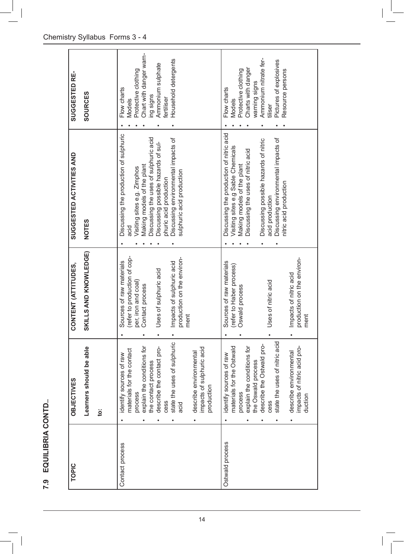| <b>TOPIC</b>    | <b>OBJECTIVES</b>                                     | CONTENT (ATTITUDES,                                                    | SUGGESTED ACTIVITIES AND                                      | SUGGESTED RE-                                  |
|-----------------|-------------------------------------------------------|------------------------------------------------------------------------|---------------------------------------------------------------|------------------------------------------------|
|                 | Learners should be able                               | SKILLS AND KNOWLEDGE)                                                  | <b>NOTES</b>                                                  | <b>SOURCES</b>                                 |
|                 | <u>io:</u>                                            |                                                                        |                                                               |                                                |
| Contact process | materials for the contact<br>identify sources of raw  | Sources of raw materials                                               | Discussing the production of sulphuric<br>acid                | Flow charts<br><b>Models</b>                   |
|                 | explain the conditions for<br>process                 | (refer to production of cop-<br>per, iron and coal)<br>Contact process | Making models of the plant<br>Visiting sites e.g. Zimphos     | Chart with danger warn-<br>Protective clothing |
|                 | the contact process                                   |                                                                        | Discussing the uses of sulphuric acid                         | ing signs                                      |
|                 | describe the contact pro-<br>cess                     | Uses of sulphuric acid                                                 | Discussing possible hazards of sul-<br>phuric acid production | Ammonium sulphate<br>fertiliser                |
|                 | state the uses of sulphuric                           | pacts of sulphuric acid<br>트                                           | Discussing environmental impacts of                           | Household detergents                           |
|                 | acid                                                  | production on the environ-<br>ment                                     | sulphuric acid production                                     |                                                |
|                 | impacts of sulphuric acid<br>describe environmental   |                                                                        |                                                               |                                                |
|                 | production                                            |                                                                        |                                                               |                                                |
| Ostwald process | identify sources of raw                               |                                                                        | Discussing the production of nitric acid                      | Flow charts                                    |
|                 | materials for the Ostwald                             | Sources of raw materials<br>(refer to Haber process)<br>Oswald process | Visiting sites e.g Sable Chemicals                            | Models                                         |
|                 | process                                               |                                                                        | Making models of the plant                                    | Protective clothing                            |
|                 | explain the conditions for                            |                                                                        | Discussing the uses of nitric acid                            | Charts with danger                             |
|                 | describe the Ostwald pro-<br>the Oswald process       |                                                                        | Discussing possible hazards of nitric                         | Ammonium nitrate fer-<br>warning signs         |
|                 | cess                                                  | Uses of nitric acid                                                    | acid production                                               | tiliser                                        |
|                 | state the uses of nitric acid                         |                                                                        | Discussing environmental impacts of                           | Pictures of explosives                         |
|                 |                                                       |                                                                        | nitric acid production                                        | Resource persons                               |
|                 | impacts of nitric acid pro-<br>describe environmental | Impacts of nitric acid                                                 |                                                               |                                                |
|                 | duction                                               | production on the environ-<br>ment                                     |                                                               |                                                |

### Chemistry Syllabus Forms 3 - 4

**7.9 EQUILIBRIA CONTD..**

7.9 EQUILIBRIA CONTD..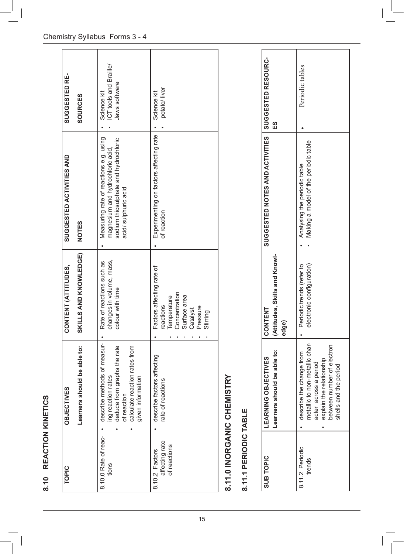| 8.10                                             | REACTION KINETICS                                                                                                                                                      |                                                                                                                            |                                                                                                                                            |                                                        |
|--------------------------------------------------|------------------------------------------------------------------------------------------------------------------------------------------------------------------------|----------------------------------------------------------------------------------------------------------------------------|--------------------------------------------------------------------------------------------------------------------------------------------|--------------------------------------------------------|
| <b>TOPIC</b>                                     | Learners should be able to:<br><b>OBJECTIVES</b>                                                                                                                       | SKILLS AND KNOWLEDGE)<br>CONTENT (ATTITUDES,                                                                               | SUGGESTED ACTIVITIES AND<br><b>NOTES</b>                                                                                                   | SUGGESTED RE-<br><b>SOURCES</b>                        |
| 8.10.0 Rate of reac-<br>tions                    | describe methods of measur-<br>deduce from graphs the rate<br>calculate reaction rates from<br>ing reaction rates<br>given information<br>of reaction                  | changes in volume, mass,<br>Rate of reactions such as<br>colour with time                                                  | Measuring rate of reactions e.g. using<br>sodium thiosulphate and hydrochloric<br>magnesium and hydrochloric acid,<br>acid/ sulphuric acid | ICT tools and Braille/<br>Jaws software<br>Science kit |
| affecting rate<br>of reactions<br>8.10.2 Factors | describe factors affecting<br>rate of reactions                                                                                                                        | Factors affecting rate of<br>Concentration<br>Surface area<br>Temperature<br>reactions<br>Pressure<br>Catalyst<br>Stirring | Experimenting on factors affecting rate<br>of reaction                                                                                     | potato/liver<br>Science kit                            |
| 8.11.1 PERIODIC TABLE                            | 8.11.0 INORGANIC CHEMISTRY                                                                                                                                             |                                                                                                                            |                                                                                                                                            |                                                        |
| <b>SUB TOPIC</b>                                 | Learners should be able to:<br><b>LEARNING OBJECTIVES</b>                                                                                                              | (Attitudes, Skills and Knowl-<br><b>CONTENT</b><br>edge)                                                                   | SUGGESTED NOTES AND ACTIVITIES                                                                                                             | SUGGESTED RESOURC-<br>$\overline{E}S$                  |
| 8.11.2 Periodic<br>trends                        | metallic to non-metallic char-<br>between number of electron<br>describe the change from<br>explain the relationship<br>acter across a period<br>shells and the period | electronic configuration)<br>Periodic trends (refer to                                                                     | Making a model of the periodic table<br>Analysing the periodic table                                                                       | Periodic tables                                        |

Chemistry Syllabus Forms 3 - 4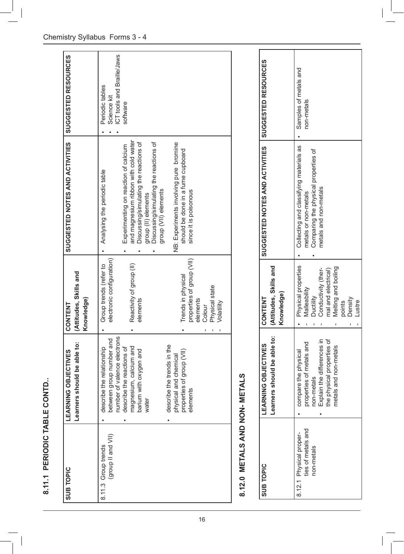| 8.11.1 PERIODIC TABLE CONTD.                                   |                                                                                                                                                                                                                                                                                |                                                                                                                                                                                                      |                                                                                                                                                                                                                                                                                                                                                         |                                                                          |
|----------------------------------------------------------------|--------------------------------------------------------------------------------------------------------------------------------------------------------------------------------------------------------------------------------------------------------------------------------|------------------------------------------------------------------------------------------------------------------------------------------------------------------------------------------------------|---------------------------------------------------------------------------------------------------------------------------------------------------------------------------------------------------------------------------------------------------------------------------------------------------------------------------------------------------------|--------------------------------------------------------------------------|
| <b>SUB TOPIC</b>                                               | Learners should be able to:<br><b>LEARNING OBJECTIVES</b>                                                                                                                                                                                                                      | (Attitudes, Skills and<br>Knowledge)<br>CONTENT                                                                                                                                                      | SUGGESTED NOTES AND ACTIVITIES                                                                                                                                                                                                                                                                                                                          | SUGGESTED RESOURCES                                                      |
| (group II and VIII)<br>Group trends<br>8.11.3                  | number of valence electrons<br>between group number and<br>describe the trends in the<br>magnesium, calcium and<br>describe the reactions of<br>describe the relationship<br>barium with oxygen and<br>properties of group (VII)<br>physical and chemical<br>elements<br>water | electronic configuration)<br>properties of group (VII)<br>Reactivity of group (II)<br>Group trends (refer to<br>Trends in physical<br>Physical state<br>elements<br>elements<br>Volatility<br>Colour | and magnesium ribbon with cold water<br>Discussing/simulating the reactions of<br>Discussing/simulating the reactions of<br>NB: Experiments involving pure bromine<br>Experimenting on reaction of calcium<br>should be done in a fume cupboard<br>Analysing the periodic table<br>group (VII) elements<br>since it is poisonous<br>group (II) elements | ICT tools and Braille/Jaws<br>Periodic tables<br>Science kit<br>software |
| 8.12.0 METALS AND NON-METALS<br><b>SUB TOPIC</b>               | Learners should be able to:<br><b>LEARNING OBJECTIVES</b>                                                                                                                                                                                                                      | (Attitudes, Skills and<br>Knowledge)<br><b>CONTENT</b>                                                                                                                                               | SUGGESTED NOTES AND ACTIVITIES                                                                                                                                                                                                                                                                                                                          | SUGGESTED RESOURCES                                                      |
| ties of metals and<br>Physical proper-<br>non-metals<br>8.12.1 | Explain the differences in<br>the physical properties of<br>properties of metals and<br>metals and non-metals<br>compare the physical<br>non-metals                                                                                                                            | Physical properties<br>Melting and boiling<br>Conductivity (ther-<br>mal and electrical)<br>Valleability<br>Ductility<br>т.<br>$\mathbf{I}$                                                          | Collecting and classifying materials as<br>Comparing the physical properties of<br>metals and non-metals<br>metals or non-metals                                                                                                                                                                                                                        | Samples of metals and<br>non-metals                                      |

points<br>- Densit<br>- Lustre - Density

l.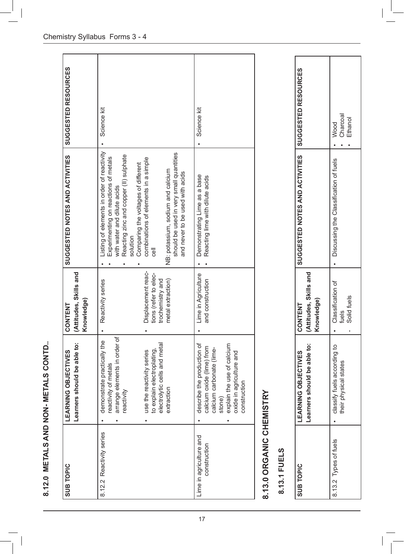| <b>SUB TOPIC</b>                        | Learners should be able to:<br><b>LEARNING OBJECTIVES</b>                                                                                                               | (Attitudes, Skills and<br>Knowledge)<br>CONTENT        | SUGGESTED NOTES AND ACTIVITIES                                                                                                                              | SUGGESTED RESOURCES         |
|-----------------------------------------|-------------------------------------------------------------------------------------------------------------------------------------------------------------------------|--------------------------------------------------------|-------------------------------------------------------------------------------------------------------------------------------------------------------------|-----------------------------|
| 8.12.2 Reactivity series                | arrange elements in order of<br>demonstrate practically the<br>reactivity of metals<br>reactivity                                                                       | Reactivity series                                      | Listing of elements in order of reactivity<br>Reacting zinc and copper (II) sulphate<br>Experimenting on reactions of metals<br>with water and dilute acids | Science kit                 |
|                                         | to explain electroplating,<br>use the reactivity series                                                                                                                 | Displacement reac-<br>ions (refer to elec-             | combinations of elements in a simple<br>Comparing the voltages of different<br>solution<br>$\overline{5}$                                                   |                             |
|                                         | electrolytic cells and metal<br>extraction                                                                                                                              | trochemistry and<br>metal extraction)                  | should be used in very small quantities<br>NB: potassium, sodium and calcium<br>and never to be used with acids                                             |                             |
| Lime in agriculture and<br>construction | describe the production of<br>explain the use of calcium<br>calcium oxide (lime) from<br>calcium carbonate (lime-<br>oxide in agriculture and<br>construction<br>stone) | Lime in Agriculture<br>and construction                | Demonstrating Lime as a base<br>Reacting lime with dilute acids                                                                                             | Science kit<br>٠            |
| 8.13.0 ORGANIC CHEMISTRY                |                                                                                                                                                                         |                                                        |                                                                                                                                                             |                             |
| 8.13.1 FUELS                            |                                                                                                                                                                         |                                                        |                                                                                                                                                             |                             |
| <b>SUB TOPIC</b>                        | Learners should be able to:<br><b>LEARNING OBJECTIVES</b>                                                                                                               | (Attitudes, Skills and<br>Knowledge)<br><b>CONTENT</b> | SUGGESTED NOTES AND ACTIVITIES                                                                                                                              | SUGGESTED RESOURCES         |
| 8.13.2 Types of fuels                   | classify fuels according to<br>their physical states                                                                                                                    | Classification of<br>Solid fuels<br>uels               | Discussing the Classification of fuels<br>$\bullet$                                                                                                         | Charcoal<br>Ethanol<br>Wood |

**8.12.0 METALS AND NON- METALS CONTD..**

8.12.0 METALS AND NON- METALS CONTD.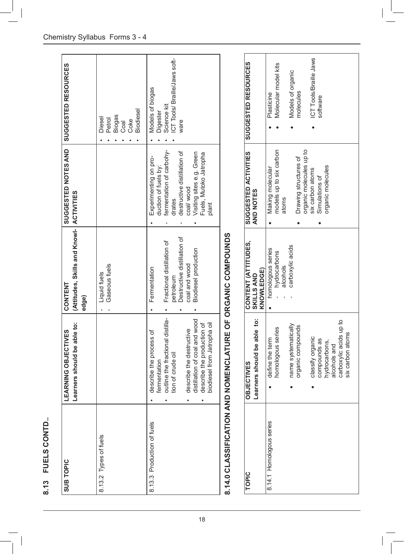| <b>SUB TOPIC</b>                                | Learners should be able to:<br><b>LEARNING OBJECTIVES</b>                                                                                                                                                                  | (Attitudes, Skills and Knowl-<br><b>CONTENT</b><br>edge)                                                                                            | SUGGESTED NOTES AND<br><b>ACTIVITIES</b>                                                                                                                                                        | SUGGESTED RESOURCES                                                                                        |
|-------------------------------------------------|----------------------------------------------------------------------------------------------------------------------------------------------------------------------------------------------------------------------------|-----------------------------------------------------------------------------------------------------------------------------------------------------|-------------------------------------------------------------------------------------------------------------------------------------------------------------------------------------------------|------------------------------------------------------------------------------------------------------------|
| Types of fuels<br>8.13.2                        |                                                                                                                                                                                                                            | Gaseous fuels<br>Liquid fuels<br>$\mathbf{L}_{\mathbf{r}}$                                                                                          |                                                                                                                                                                                                 | <b>Biodiesel</b><br><b>Biogas</b><br>Diesel<br>Petrol<br>Coke<br>Coal                                      |
| ٠<br>$\bullet$<br>Production of fuels<br>8.13.3 | outline the fractional distilla-<br>distillation of coal and wood<br>biodiesel from Jatropha oil<br>describe the production of<br>describe the destructive<br>describe the process of<br>tion of crude oil<br>fermentation | Destructive distillation of<br>Fractional distillation of<br><b>Biodiesel production</b><br>coal and wood<br>Fermentation<br>petroleum<br>$\bullet$ | fermentation of carbohy-<br>destructive distillation of<br>Visiting sites e.g. Green<br>Fuels, Mutoko Jatropha<br>Experimenting on pro-<br>duction of fuels by:<br>coal/wood<br>drates<br>plant | ICT Tools/ Braille/Jaws soft-<br>Models of biogas<br>Science kit<br>Digester<br>ware                       |
| 8.14.0 CLASSIFICATION AND NOMENCLATURE OI       | H.                                                                                                                                                                                                                         | ORGANIC COMPOUNDS                                                                                                                                   |                                                                                                                                                                                                 |                                                                                                            |
| <b>TOPIC</b>                                    | Learners should be able to:<br><b>OBJECTIVES</b>                                                                                                                                                                           | <b>CONTENT (ATTITUDES,</b><br><b>KNOWLEDGE)</b><br><b>SKILLS AND</b>                                                                                | <b>SUGGESTED ACTIVITIES</b><br>AND NOTES                                                                                                                                                        | SUGGESTED RESOURCES                                                                                        |
| 8.14.1 Homologous series                        | carboxylic acids up to<br>name systematically<br>organic compounds<br>homologous series<br>six carbon atoms<br>classify organic<br>define the term<br>compounds as<br>hydrocarbons,<br>alcohols and                        | carboxylic acids<br>homologous series<br>hydrocarbons<br>alcohols                                                                                   | models up to six carbon<br>organic molecules up to<br>Drawing structures of<br>organic molecules<br>Making molecular<br>six carbon atoms<br>Simulations of<br>atoms                             | ICT Tools/Braille Jaws<br>Molecular model kits<br>Models of organic<br>molecules<br>Plasticine<br>software |

 $\overline{\phantom{a}}$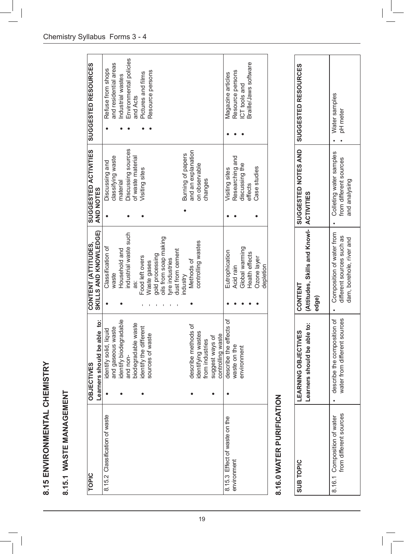| TOPIC                          | <b>OBJECTIVES</b>                    | <b>CONTENT (ATTITUDES,<br/>SKILLS AND KNOWLEDGE)</b>  | SUGGESTED ACTIVITIES                    | SUGGESTED RESOURCES    |
|--------------------------------|--------------------------------------|-------------------------------------------------------|-----------------------------------------|------------------------|
|                                | Learners should be able to:          |                                                       | AND NOTES                               |                        |
| 8.15.2 Classification of waste | identify solid, liquid               | Classification of                                     | Discussing and                          | Refuse from shops      |
|                                | and gaseous waste                    | waste                                                 | classifying waste                       | and residential areas  |
|                                | identify biodegradable               | Household and                                         | material                                | Industrial wastes      |
|                                | and non-                             | industrial waste such                                 | Discussing sources                      | Environmental policies |
|                                | biodegradable waste                  | <br>@                                                 | of waste material                       | and Acts               |
|                                | identify the different               | Food left overs                                       | Visiting sites                          | Pictures and films     |
|                                | sources of waste                     | Waste gases                                           |                                         | Resource persons       |
|                                |                                      | gold processing                                       |                                         |                        |
|                                |                                      | oils from soap making                                 |                                         |                        |
|                                |                                      | tyre industries                                       |                                         |                        |
|                                |                                      | dust from cement                                      |                                         |                        |
|                                |                                      | industry                                              | Burning of papers                       |                        |
|                                | describe methods of                  | Methods of                                            | and an explanation                      |                        |
|                                | identifying wastes                   | controlling wastes                                    | on observable                           |                        |
|                                | from industries                      |                                                       | changes                                 |                        |
|                                | controlling waste<br>suggest ways of |                                                       |                                         |                        |
| 8.15.3 Effect of waste on the  | ৳<br>describe the effects            | Eutrophication                                        | Visiting sites                          | Magazine articles      |
| environment                    | waste on the                         | Acid rain                                             | Researching and                         | Resource persons       |
|                                | environment                          |                                                       |                                         |                        |
|                                |                                      | Global warming                                        | discussing the                          | ICT tools and          |
|                                |                                      | Health effects                                        | effects                                 | Braille/Jaws software  |
|                                |                                      | Ozone layer                                           | Case studies                            |                        |
|                                |                                      | depletion                                             |                                         |                        |
| 8.16.0 WATER PURIFICATION      |                                      |                                                       |                                         |                        |
|                                |                                      |                                                       |                                         |                        |
| <b>SUB TOPIC</b>               | <b>LEARNING OBJECTIVES</b>           | CONTENT                                               | SUGGESTED NOTES AND                     | SUGGESTED RESOURCES    |
|                                | Learners should be able to           | (Attitudes, Skills and Knowl-                         | <b>ACTIVITIES</b>                       |                        |
|                                |                                      | edge)                                                 |                                         |                        |
| Composition of water<br>8.16.1 | ৳<br>describe the composition        | Composition of water from                             | Colleting water samples                 | Water samples          |
| from different sources         | water from different sources         | different sources such as<br>dam, borehole, river and | from different sources<br>and analysing | pH meter               |
|                                |                                      |                                                       |                                         |                        |

**8.15 ENVIRONMENTAL CHEMISTRY**

8.15 ENVIRONMENTAL CHEMISTRY

 $\mathcal{L}$ 

**8.15.1 WASTE MANAGEMENT**

8.15.1 WASTE MANAGEMENT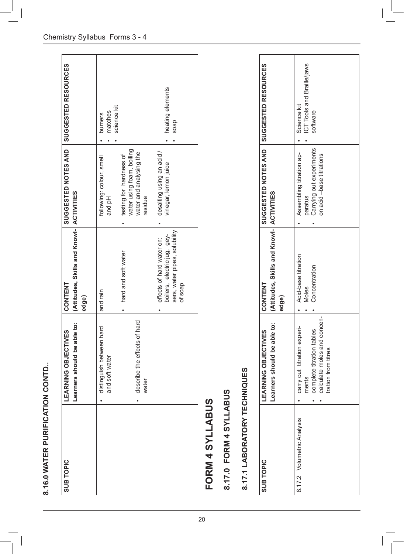| 8.16.0 WATER PURIFICATION CONTD. |                                                                                                                         |                                                                                                           |                                                                                             |                                                       |  |
|----------------------------------|-------------------------------------------------------------------------------------------------------------------------|-----------------------------------------------------------------------------------------------------------|---------------------------------------------------------------------------------------------|-------------------------------------------------------|--|
| <b>SUB TOPIC</b>                 | Learners should be able to:<br><b>LEARNING OBJECTIVES</b>                                                               | (Attitudes, Skills and Knowl-<br><b>CONTENT</b><br>edge)                                                  | SUGGESTED NOTES AND<br><b>ACTIVITIES</b>                                                    | SUGGESTED RESOURCES                                   |  |
|                                  | distinguish between hard<br>and soft water                                                                              | and rain                                                                                                  | following: colour, smell<br>and pH                                                          | matches<br>burners                                    |  |
|                                  | describe the effects of hard<br>water<br>$\bullet$                                                                      | hard and soft water                                                                                       | water using foam, boiling<br>water and analysing the<br>testing for hardness of<br>residue  | science kit                                           |  |
|                                  |                                                                                                                         | sers, water pipes, solubility<br>$gey-$<br>effects of hard water on:<br>boilers, electric jug,<br>of soap | desalting using an acid/<br>vinegar, lemon juice                                            | heating elements<br>soap                              |  |
| FORM 4 SYLLABUS                  |                                                                                                                         |                                                                                                           |                                                                                             |                                                       |  |
| 8.17.0 FORM 4 SYLLABUS           |                                                                                                                         |                                                                                                           |                                                                                             |                                                       |  |
| 8.17.1 LABORATORY TECHNIQUES     |                                                                                                                         |                                                                                                           |                                                                                             |                                                       |  |
| <b>SUB TOPIC</b>                 | Learners should be able to<br><b>LEARNING OBJECTIVES</b>                                                                | (Attitudes, Skills and Knowl-<br><b>CONTENT</b><br>edge)                                                  | SUGGESTED NOTES AND<br><b>ACTIVITIES</b>                                                    | SUGGESTED RESOURCES                                   |  |
| 8.17.2 Volumetric Analysis       | calculate moles and concen-<br>carry out titration experi-<br>complete titration tables<br>tration from titres<br>ments | Acid-base titration<br>Concentration<br>Moles                                                             | Carrying out experiments<br>Assembling titration ap-<br>on acid -base titrations<br>paratus | ICT Tools and Braille/jaws<br>Science kit<br>software |  |

Chemistry Syllabus Forms 3 - 4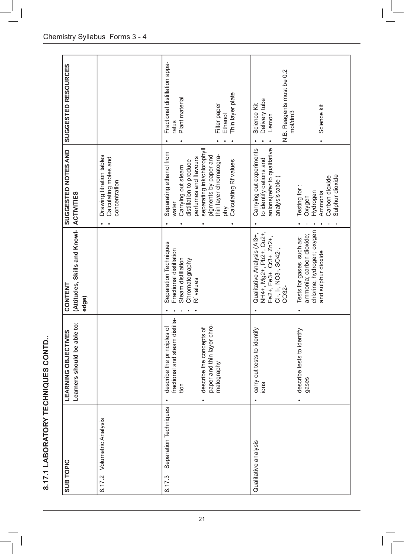| Separation Techniques<br><b>Volumetric Analysis</b> | fractional and steam distilla-<br>Learners should be able to:<br>describe the principles of<br><b>LEARNING OBJECTIVES</b><br>tion<br>$\bullet$ | (Attitudes, Skills and Knowl-<br>Separation Techniques<br>Fractional distillation<br>Steam distillation<br><b>CONTENT</b><br>edge) | SUGGESTED NOTES AND<br>Separating ethanol from<br>Drawing titration tables<br>Calculating moles and<br>Carrying out steam<br>concentration<br><b>ACTIVITIES</b><br>water | Fractional distillation appa-<br>SUGGESTED RESOURCES<br>Plant material<br>ratus |
|-----------------------------------------------------|------------------------------------------------------------------------------------------------------------------------------------------------|------------------------------------------------------------------------------------------------------------------------------------|--------------------------------------------------------------------------------------------------------------------------------------------------------------------------|---------------------------------------------------------------------------------|
|                                                     | paper and thin layer chro-<br>describe the concepts of<br>matography                                                                           | Chromatography<br>Rf values                                                                                                        | separating ink/chlorophyll<br>pigments by paper and<br>thin layer chromatogra-<br>perfumes and flavours<br>distillation to produce<br>Calculating Rf values<br>phy       | Thin layer plate<br>Filter paper<br>Ethanol                                     |
| Qualitative analysis                                | carry out tests to identify<br>ions<br>$\bullet$                                                                                               | NH4+, Mg2+, Pb2+, Cu2+,<br>Qualitative Analysis (A3+,<br>Fe2+, Fe3+, Cr3+, Zn2+,<br>CI-, I-, NO3-, SO42-,<br>CO32-                 | anions(refer to qualitative<br>Carrying out experiments<br>to identify cations and<br>analysis table)                                                                    | N.B. Reagents must be 0.2<br>Delivery tube<br>Science Kit<br>mol/dm3<br>Lemon   |
|                                                     | describe tests to identify<br>gases                                                                                                            | chlorine; hydrogen; oxygen<br>ammonia; carbon dioxide;<br>Tests for gases such as:<br>and sulphur dioxide                          | Sulphur dioxide<br>Carbon dioxide<br>Testing for:<br>Hydrogen<br>Ammonia<br>Oxygen                                                                                       | Science kit                                                                     |

Chemistry Syllabus Forms 3 - 4

**8.17.1 LABORATORY TECHNIQUES CONTD..**

8.17.1 LABORATORY TECHNIQUES CONTD.

 $\overline{\phantom{a}}$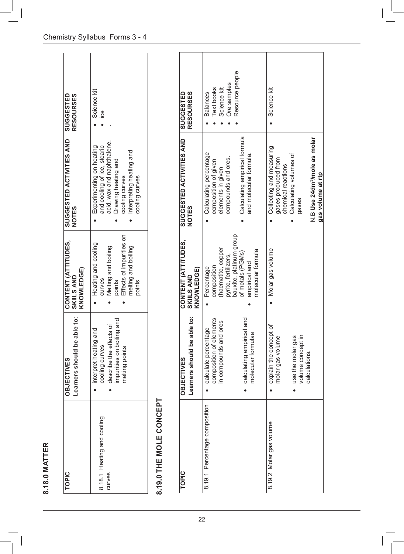| c |
|---|
| σ |
| ₹ |
| r |

| <b>RESOURSES</b><br>SUGGESTED                          | Science kit<br><u>es</u>                                                                                                                                                     |
|--------------------------------------------------------|------------------------------------------------------------------------------------------------------------------------------------------------------------------------------|
| SUGGESTED ACTIVITIES AND<br><b>NOTES</b>               | acid, wax and naphthalene.<br>and cooling of ice, stearic<br>Experimenting on heating<br>Interpreting heating and<br>Drawing heating and<br>cooling curves<br>cooling curves |
| CONTENT (ATTITUDES,<br>KNOWLEDGE)<br><b>SKIILS AND</b> | Effects of impurities on<br>Heating and cooling<br>melting and boiling<br>Melting and boiling<br>curves<br>points<br>points                                                  |
| e to:<br>Learners should be able<br><b>OBJECTIVES</b>  | and<br>đ<br>interpret heating and<br>mpurities on boiling<br>describe the effects<br>cooling curves<br>melting points                                                        |
| <b>TOPIC</b>                                           | 8.18.1 Heating and cooling<br>curves                                                                                                                                         |

## 8.19.0 THE MOLE CONCEPT **8.19.0 THE MOLE CONCEPT**

| TOPIC                         | Learners should be able to:<br><b>OBJECTIVES</b>                         | CONTENT (ATTITUDES,<br>KNOWLEDGE)<br>SKIILS AND                                                           | SUGGESTED ACTIVITIES AND<br><b>NOTES</b>                                       | <b>RESOURSES</b><br>SUGGESTED                       |  |
|-------------------------------|--------------------------------------------------------------------------|-----------------------------------------------------------------------------------------------------------|--------------------------------------------------------------------------------|-----------------------------------------------------|--|
| 8.19.1 Percentage composition | composition of elements<br>in compounds and ores<br>calculate percentage | (haematite, copper<br>composition<br>Percentage                                                           | Calculating percentage<br>composition of given<br>elements in given            | <b>Text books</b><br>Science kit<br><b>Balances</b> |  |
|                               | 흐<br>calculating empirical an<br>molecular formulae                      | bauxite, platinum group<br>molecular formula<br>of metals (PGMs)<br>pyrite, fertilizers,<br>empirical and | Calculating empirical formula<br>and molecular formula.<br>compounds and ores. | Resource people<br>Ore samples                      |  |
| 8.19.2 Molar gas volume       | explain the concept of<br>molar gas volume                               | Molar gas volume                                                                                          | Collecting and measuring<br>gases produced from<br>chemical reactions          | Science kit                                         |  |
|                               | volume concept in<br>use the molar gas                                   |                                                                                                           | Calculating volumes of<br>gases                                                |                                                     |  |
|                               | calculations.                                                            |                                                                                                           | N.B Use 24dm <sup>3</sup> /mole as molar<br>gas volume at rtp                  |                                                     |  |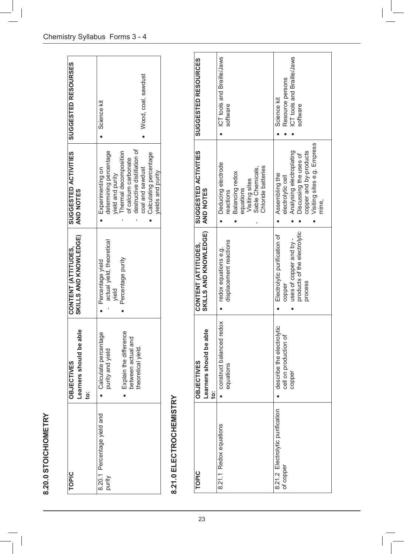8.20.0 STOICHIOMETRY **8.20.0 STOICHIOMETRY**

 $\begin{array}{c} \hline \end{array}$ 

| <b>TOPIC</b>                          | Learners should be able<br><b>OBJECTIVES</b><br>$\ddot{\mathbf{e}}$ | SKILLS AND KNOWLEDGE)<br>CONTENT (ATTITUDES,           | <b>SUGGESTED ACTIVITIES</b><br>AND NOTES                                                                                                        | <b>SUGESTED RESOURSES</b> |
|---------------------------------------|---------------------------------------------------------------------|--------------------------------------------------------|-------------------------------------------------------------------------------------------------------------------------------------------------|---------------------------|
| 8.20.1 Percentage yield and<br>purity | Calculate percentage<br>purity and yield                            | actual yield, theoretical<br>Percentage yield<br>yield | determining percentage<br>Experimenting on<br>yield and purity                                                                                  | Science kit               |
|                                       | Explain the difference<br>between actual and<br>theoretical yield.  | Percentage purity                                      | destructive distillation of<br>Thermal decomposition<br>Calculating percentage<br>of calcium carbonate<br>coal and sawdust<br>yields and purity | Wood, coal, sawdust       |

# 8.21.0 ELECTROCHEMISTRY **8.21.0 ELECTROCHEMISTRY**

|                                  | Learners should be able<br><b>OBJECTIVES</b><br>$\ddot{\mathbf{e}}$ | <b>SKILLS AND KNOWLEDGE)</b><br>CONTENT (ATTITUDES,                                                          | SUGGESTED ACTIVITIES<br>AND NOTES                                                                                                                           | <b>SUGGESTED RESOURCES</b>                                                |
|----------------------------------|---------------------------------------------------------------------|--------------------------------------------------------------------------------------------------------------|-------------------------------------------------------------------------------------------------------------------------------------------------------------|---------------------------------------------------------------------------|
| 8.21.1 Redox equations           | construct balanced redox<br>equations                               | displacement reactions<br>redox equations e.g.                                                               | Deducing electrode<br>Chloride batteries<br>Sable Chemicals,<br>Balancing redox<br>Visiting sites<br>equations<br>reactions                                 | ICT tools and Braille/Jaws<br>software                                    |
| 8.21.2 Electrolytic purification | describe the electrolytic<br>cell on production of<br>copper        | products of the electrolytic<br>Electrolytic purification of<br>uses of copper and by -<br>process<br>copper | Visiting sites e.g. Empress<br>Analysing electroplating<br>copper and by-products<br>Discussing the uses of<br>Assembling the<br>electrolytic cell<br>mine, | ICT tools and Braille/Jaws<br>Resource persons<br>Science kit<br>software |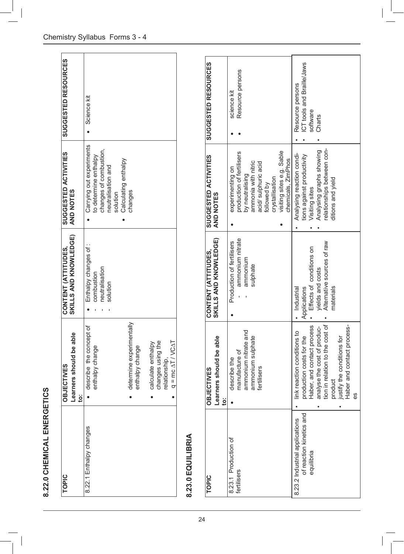| י      |
|--------|
|        |
|        |
|        |
|        |
|        |
|        |
|        |
| ı<br>۱ |
| ı      |
|        |
| ۱      |
|        |

|                         | Learners should be able<br><b>OBJECTIVES</b> | SKILLS AND KNOWLEDGE)<br>CONTENT (ATTITUDES, | SUGGESTED ACTIVITIES<br>AND NOTES | SUGGESTED RESOURCES |
|-------------------------|----------------------------------------------|----------------------------------------------|-----------------------------------|---------------------|
|                         | ë                                            |                                              |                                   |                     |
| 8.22.1 Enthalpy changes | describe the concept of                      | Enthalpy changes of                          | Carrying out experiments          | Science kit         |
|                         | enthalpy change                              | combustion                                   | to determine enthalpy             |                     |
|                         |                                              | neutralisation                               | changes of combustion,            |                     |
|                         |                                              | solution                                     | neutralisation and                |                     |
|                         |                                              |                                              | solution                          |                     |
|                         |                                              |                                              | Calculating enthalpy              |                     |
|                         | determine experimentally                     |                                              | changes                           |                     |
|                         | enthalpy change                              |                                              |                                   |                     |
|                         |                                              |                                              |                                   |                     |
|                         | calculate enthalpy                           |                                              |                                   |                     |
|                         | changes using the                            |                                              |                                   |                     |
|                         | relationship,                                |                                              |                                   |                     |
|                         | $q = mc \Delta T / VCAT$                     |                                              |                                   |                     |

### 8.23.0 EQUILIBRIA **8.23.0 EQUILIBRIA 8.23.0 EQUILIBRIA**

| TOPIC                                                                    | Learners should be able<br><b>OBJECTIVES</b><br>$\ddot{\mathbf{e}}$                                                                                                                                                                  | SKILLS AND KNOWLEDGE)<br>CONTENT (ATTITUDES,                                                                          | SUGGESTED ACTIVITIES<br>AND NOTES                                                                                                                                                                   | <b>SUGGESTED RESOURCES</b>                                           |
|--------------------------------------------------------------------------|--------------------------------------------------------------------------------------------------------------------------------------------------------------------------------------------------------------------------------------|-----------------------------------------------------------------------------------------------------------------------|-----------------------------------------------------------------------------------------------------------------------------------------------------------------------------------------------------|----------------------------------------------------------------------|
| 8.23.1 Production of<br>fertilisers                                      | ammonium nitrate and<br>ammonium sulphate<br>manufacture of<br>describe the<br>fertilisers                                                                                                                                           | ammonium nitrate<br>Production of fertilisers<br>ammonium<br>sulphate                                                 | visiting sites e.g. Sable<br>production of fertilisers<br>chemicals, ZimPhos<br>ammonia with nitric<br>acid/sulphuric acid<br>experimenting on<br>by neutralising<br>crystallisation<br>followed by | Resource persons<br>science kit                                      |
| of reaction kinetics and<br>8.23.2 Industrial applications<br>equilibria | Haber, and contact process<br>tion in relation to the cost of<br>Haber and contact process-<br>analyse the cost of produc-<br>link reaction conditions to<br>justify the conditions for<br>production costs for the<br>product<br>ဖိ | Alternative sources of raw<br>Effects of conditions on<br>vields and costs<br>Applications<br>materials<br>Industrial | relationships between con-<br>Analysing graphs showing<br>Analysing reaction condi-<br>tions against productivity<br>ditions and yield<br>Visiting sites                                            | ICT tools and Braille/Jaws<br>Resource persons<br>software<br>Charts |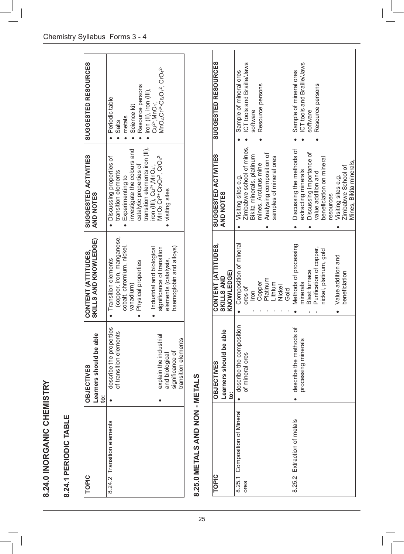| I                                |
|----------------------------------|
| ı<br><b>Service Service</b><br>I |
| ֘֒                               |
|                                  |
|                                  |
|                                  |
|                                  |
| í                                |
|                                  |
|                                  |
| l                                |
|                                  |
|                                  |
|                                  |
|                                  |
| ۱                                |
|                                  |
|                                  |
|                                  |
|                                  |
| I                                |
| J                                |
| ì                                |
| l                                |
| е                                |

### 8.24.1 PERIODIC TABLE **8.24.1 PERIODIC TABLE 8.24.1 PERIODIC TABLE**

|                            | <b>OBJECTIVES</b>       | <b>CONTENT (ATTITUDES,</b>   | <b>SUGGESTED ACTIVITIES</b>              | SUGGESTED RESOURCES            |
|----------------------------|-------------------------|------------------------------|------------------------------------------|--------------------------------|
|                            | Learners should be able | <b>SKILLS AND KNOWLEDGE)</b> | AND NOTES                                |                                |
| ë                          |                         |                              |                                          |                                |
| 8.24.2 Transition elements | describe the properties | Iransition elements          | Discussing properties of                 | · Periodic table               |
|                            | of transition elements  | (copper, iron, manganese,    | transition elements                      | Salts                          |
|                            |                         | cobalt, chromium, nickel,    | Experimenting to                         | metals                         |
|                            |                         | vanadium)                    | investigate the colours and              | Science kit                    |
|                            |                         | Physical properties          | catalytic properties of                  | Resource persons               |
|                            |                         |                              | transition elements iron (II),           | $\cdot$ iron (II), iron (III), |
|                            |                         | Industrial and biological    | iron (III), $Cu^{2+}$ , MnO <sub>4</sub> | $Cu^{2+}$ , MnO <sub>4</sub> , |
|                            | explain the industrial  | significance of transition   | $MnO2: Cr3+: Cr2O72: CrO42-$             | $MnO2, Cr3+.Cr2O72, CrO42-$    |
|                            | and biological          | elements (catalysis,         | visiting sites                           |                                |
|                            | significance of         | haemoglobin and alloys)      |                                          |                                |
|                            | transition elements     |                              |                                          |                                |

### **8.25.0 METALS AND NON - METALS** 8.25.0 METALS AND NON - METALS **8.25.0 METALS AND NON - METALS**

| <b>DIDDT</b>                          | Learners should be able<br><b>OBJECTIVES</b><br>ë | CONTENT (ATTITUDES,<br>KNOWLEDGE)<br>SKILLS AND                                                         | SUGGESTED ACTIVITIES<br>AND NOTES                                                                                                          | SUGGESTED RESOURCES                                                                  |
|---------------------------------------|---------------------------------------------------|---------------------------------------------------------------------------------------------------------|--------------------------------------------------------------------------------------------------------------------------------------------|--------------------------------------------------------------------------------------|
| 8.25.1 Composition of Mineral<br>ores | describe the composition<br>of mineral ores       | Composition of mineral<br>ores of<br>$\frac{1}{2}$                                                      | Zimbabwe school of mines,<br>Bikita minerals, platinum<br>Visiting sites e.g.                                                              | ICT tools and Braille/Jaws<br>Sample of mineral ores<br>software                     |
|                                       |                                                   | Platinum<br>Copper<br>_ithium<br>Nickel<br>Gold                                                         | Analysing composition of<br>samples of mineral ores<br>mines, Arcturus mine                                                                | Resource persons                                                                     |
| 8.25.2 Extraction of metals           | describe the methods of<br>processing minerals    | Methods of processing<br>Purification of copper,<br>nickel, platinum, gold<br>Blast furnace<br>minerals | Discussing the methods of<br>Discussing importance of<br>beneficiation on mineral<br>extracting minerals<br>value addition and<br>esources | ICT tools and Braille/Jaws<br>Sample of mineral ores<br>Resource persons<br>software |
|                                       |                                                   | Value addition and<br>beneficiation                                                                     | Mines. Bikita minerals.<br>Zimbabwe School of<br>Visiting sites e.g.                                                                       |                                                                                      |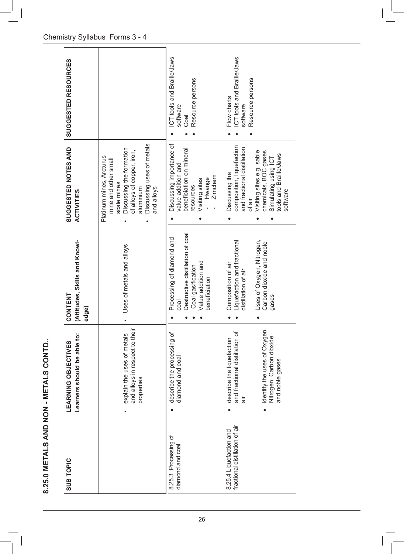| SUB TOPIC                                                 | Learners should be able to:<br><b>LEARNING OBJECTIVES</b>                                                                                          | (Attitudes, Skills and Knowl-<br>CONTENT<br>edge)                                                                                                   | SUGGESTED NOTES AND<br><b>ACTIVITIES</b>                                                                                                                                                                | SUGGESTED RESOURCES                                                       |
|-----------------------------------------------------------|----------------------------------------------------------------------------------------------------------------------------------------------------|-----------------------------------------------------------------------------------------------------------------------------------------------------|---------------------------------------------------------------------------------------------------------------------------------------------------------------------------------------------------------|---------------------------------------------------------------------------|
|                                                           | and alloys in respect to their<br>explain the uses of metals<br>properties                                                                         | Uses of metals and alloys                                                                                                                           | Discussing uses of metals<br>Discussing the formation<br>of alloys of copper, iron,<br>Platinum mines, Arcturus<br>mine and other small<br>scale mines<br>aluminium<br>and alloys                       |                                                                           |
| 8.25.3 Processing of<br>diamond and coal                  | describe the processing of<br>diamond and coal                                                                                                     | Destructive distillation of coal<br>Processing of diamond and<br>Value addition and<br>Coal gasification<br>beneficiation<br>$\overline{\text{co}}$ | Discussing importance of<br>beneficiation on mineral<br>value addition and<br>Zimchem<br>Hwange<br>Visiting sites<br>resources                                                                          | ICT tools and Braille/Jaws<br>Resource persons<br>software<br>Coal        |
| fractional distillation of air<br>8.25.4 Liquefaction and | identify the uses of Oxygen,<br>and fractional distillation of<br>Nitrogen, Carbon dioxide<br>describe the liquefaction<br>and noble gases<br>ilis | Uses of Oxygen, Nitrogen,<br>Liquefaction and fractional<br>Carbon dioxide and noble<br>Composition of air<br>distillation of air<br>gases          | composition, liquefaction<br>and fractional distillation<br>Visiting sites e.g. sable<br>chemicals, BOC gases<br>tools and Braille/Jaws<br>Simulating using ICT<br>Discussing the<br>software<br>of air | ICT tools and Braille/Jaws<br>Resource persons<br>Flow charts<br>software |

Chemistry Syllabus Forms 3 - 4

**8.25.0 METALS AND NON - METALS CONTD..**

8.25.0 METALS AND NON - METALS CONTD.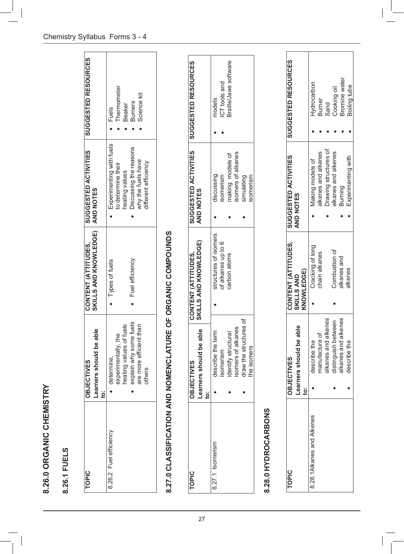| <b>TOPIC</b>                              | Learners should be able<br><b>OBJECTIVES</b><br><u>io:</u>                                                                  | SKILLS AND KNOWLEDGE)<br>CONTENT (ATTITUDES,                                 | <b>SUGGESTED ACTIVITIES</b><br>AND NOTES                                                                                                 | SUGGESTED RESOURCES                                                                  |
|-------------------------------------------|-----------------------------------------------------------------------------------------------------------------------------|------------------------------------------------------------------------------|------------------------------------------------------------------------------------------------------------------------------------------|--------------------------------------------------------------------------------------|
| 8.26.2 Fuel efficiency                    | explain why some fuels<br>heating values of fuels<br>are more efficient than<br>experimentally, the<br>determine,<br>others | Fuel efficiency<br>Types of fuels<br>$\bullet$                               | Experimenting with fuels<br>Discussing the reasons<br>why the fuels have<br>different efficiency<br>to determine their<br>heating values | Thermometer<br>Science kit<br><b>Burners</b><br>Beaker<br><b>Fuels</b>               |
| 8.27.0 CLASSIFICATION AND NOMENCLATURE OF |                                                                                                                             | ORGANIC COMPOUNDS                                                            |                                                                                                                                          |                                                                                      |
| TOPIC                                     | Learners should be able<br><b>OBJECTIVES</b><br>$\ddot{\circ}$                                                              | SKILLS AND KNOWLEDGE)<br>CONTENT (ATTITUDES)                                 | SUGGESTED ACTIVITIES<br>AND NOTES                                                                                                        | <b>SUGGESTED RESOURCES</b>                                                           |
| 8.27.1 Isomerism                          | draw the structures of<br>isomers of alkanes<br>describe the term<br>identify structural<br>the isomers<br>isomerism        | structures of isomers<br>of alkanes up to 6<br>carbon atoms                  | isomers of alkanes<br>making models of<br>discussing<br>isomerism<br>isomerism<br>simulating                                             | Braille/Jaws software<br>ICT tools and<br>models                                     |
| 8.28.0 HYDROCARBONS                       |                                                                                                                             |                                                                              |                                                                                                                                          |                                                                                      |
| <b>TOPIC</b>                              | Learners should be able<br><b>OBJECTIVES</b><br><u>io:</u>                                                                  | <b>CONTENT (ATTITUDES,</b><br>KNOWLEDGE)<br><b>SKILLS AND</b>                | <b>SUGGESTED ACTIVITIES</b><br>AND NOTES                                                                                                 | <b>SUGGESTED RESOURCES</b>                                                           |
| 8.28.1Alkanes and Alkenes                 | alkanes and alkenes<br>alkanes and alkenes<br>distinguish between<br>manufacture of<br>describe the<br>describe the         | Cracking of long<br>Combustion of<br>chain alkanes<br>alkanes and<br>alkenes | Drawing structures of<br>alkanes and alkenes<br>alkenes and alkanes<br>Experimenting with<br>Making models of<br>Burning                 | Bromine water<br>Hydrocarbon<br>Boiling tube<br>Cooking oil<br><b>Burner</b><br>Sand |

**Experimenting with** cooking oil to

chemical properties

Reaction with

**8.26.0 ORGANIC CHEMISTRY**

8.26.0 ORGANIC CHEMISTRY

 $\overline{\phantom{a}}$ 

**8.26.1 FUELS**

8.26.1 FUELS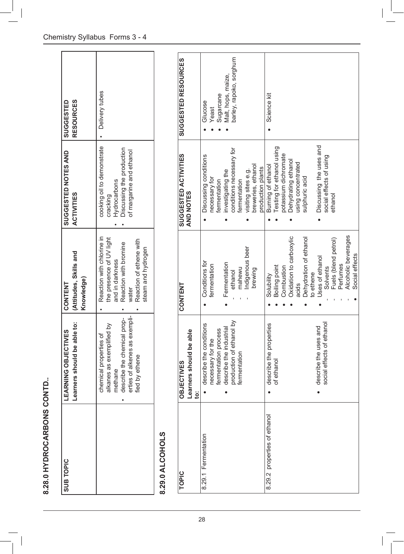| ī                                                                                                              |
|----------------------------------------------------------------------------------------------------------------|
| Ï<br>l                                                                                                         |
|                                                                                                                |
|                                                                                                                |
| in the control of the control of the control of the control of the control of the control of the control of th |
|                                                                                                                |
| in the control of the control of the control of the control of the control of the control of the control of th |
|                                                                                                                |
| I                                                                                                              |
| i<br>f                                                                                                         |

| <b>SUB TOPIC</b> | Learners should be able to:<br><b>LEARNING OBJECTIVES</b>                                                                                       | (Attitudes, Skills and<br>Knowledge)<br><b>CONTENT</b>                                                                                                      | SUGGESTED NOTES AND<br><b>ACTIVITIES</b>                                                                        | <b>RESOURCES</b><br><b>SUGGESTED</b> |
|------------------|-------------------------------------------------------------------------------------------------------------------------------------------------|-------------------------------------------------------------------------------------------------------------------------------------------------------------|-----------------------------------------------------------------------------------------------------------------|--------------------------------------|
|                  | erties of alkenes as exempli-<br>alkanes as exemplified by<br>describe the chemical prop<br>chemical properties of<br>fied by ethene<br>methane | Reaction with chlorine in<br>the presence of UV light<br>Reaction of ethene with<br>Reaction with bromine<br>steam and hydrogen<br>and in darkness<br>water | cooking oil to demonstrate<br>Discussing the production<br>of margarine and ethanol<br>Hydrocarbons<br>cracking | Delivery tubes                       |
|                  |                                                                                                                                                 |                                                                                                                                                             |                                                                                                                 |                                      |

### **8.29.0 ALCOHOLS** 8.29.0 ALCOHOLS **8.29.0 ALCOHOLS**

| TOPIC                        | Learners should be able<br><b>OBJECTIVES</b><br>$\ddot{\mathbf{e}}$ | CONTENT                 | SUGGESTED ACTIVITIES<br>AND NOTES | <b>SUGGESTED RESOURCES</b> |
|------------------------------|---------------------------------------------------------------------|-------------------------|-----------------------------------|----------------------------|
| 8.29.1 Fermentation          | describe the conditions                                             | Conditions for          | Discussing conditions             | Glucose                    |
|                              | necessary for the                                                   | fermentation            | necessary for                     | Yeast                      |
|                              | fermentation process                                                |                         | fermentation                      | Sugarcane                  |
|                              | describe the industrial                                             | Fermentation            | investigating the                 | Malt, hops, maize,         |
|                              | production of ethanol by                                            | ethanol                 | conditions necessary for          | barley, rapoko, sorghum    |
|                              | fermentation                                                        | mahewu                  | fermentation                      |                            |
|                              |                                                                     | Indigenous beer         | visiting sites e.g.               |                            |
|                              |                                                                     | brewing                 | breweries, ethanol                |                            |
|                              |                                                                     |                         | production plants                 |                            |
| 8.29.2 properties of ethanol | describe the properties                                             | Solubility              | Burning of ethanol                | Science kit                |
|                              | of ethanol                                                          | Boiling point           | Testing for ethanol using         |                            |
|                              |                                                                     | Combustion              | potassium dichromate              |                            |
|                              |                                                                     | Oxidation to carboxylic | Dehydrating ethanol               |                            |
|                              |                                                                     | acids                   | using concentrated                |                            |
|                              |                                                                     | Dehydration of ethanol  | sulphuric acid                    |                            |
|                              |                                                                     | to ethene               |                                   |                            |
|                              | describe the uses and                                               | Uses of ethanol         | Discussing the uses and           |                            |
|                              | social effects of ethanol                                           | Solvents                | social effects of using           |                            |
|                              |                                                                     | Fuels (blend petrol)    | ethanol                           |                            |
|                              |                                                                     | Perfumes                |                                   |                            |
|                              |                                                                     | Alcoholic beverages     |                                   |                            |
|                              |                                                                     | Social effects          |                                   |                            |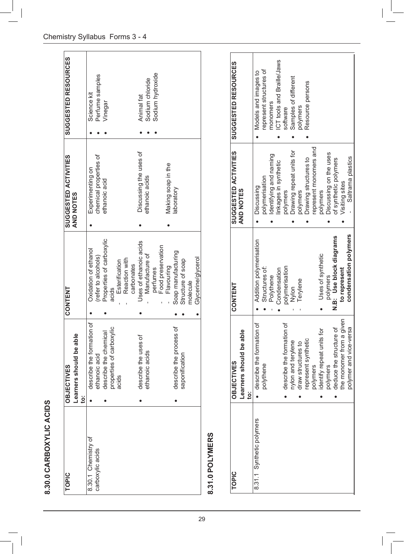| l      |
|--------|
| ľ      |
|        |
|        |
|        |
| ſ      |
|        |
|        |
|        |
|        |
| j<br>1 |
|        |

| <b>TOPIC</b>        | <b>OBJECTIVES</b>         | <b>CONTENT</b>           | SUGGESTED ACTIVITIES   | <b>SUGGESTED RESOURCES</b> |
|---------------------|---------------------------|--------------------------|------------------------|----------------------------|
|                     | Learners should be able   |                          | AND NOTES              |                            |
|                     | $\ddot{\mathbf{e}}$       |                          |                        |                            |
| 8.30.1 Chemistry of | describe the formation of | Oxidation of ethanol     | Experimenting on       | Science kit                |
| carboxylic acids    | ethanoic acid             | (refer to alcohols)      | chemical properties of | Perfume samples            |
|                     | describe the chemical     | Properties of carboxylic | ethanoic acid          | Vinegar                    |
|                     | properties of carboxylic  | acids                    |                        |                            |
|                     | acids                     | Esterification           |                        |                            |
|                     |                           | Reaction with            |                        |                            |
|                     |                           | carbonates               |                        |                            |
|                     | describe the uses of      | Uses of ethanoic acids   | Discussing the uses of | Animal fat                 |
|                     | ethanoic acids            | Manufacture of           | ethanoic acids         | Sodium chloride            |
|                     |                           | perfumes                 |                        | Sodium hydroxide           |
|                     |                           | Food preservation        |                        |                            |
|                     |                           | Flavouring               | Making soap in the     |                            |
|                     | describe the process of   | Soap manufacturing       | aboratory              |                            |
|                     | saponification            | Structure of soap        |                        |                            |
|                     |                           | molecule                 |                        |                            |
|                     |                           | Glycerine/glycerol       |                        |                            |

### 8.31.0 POLYMERS **8.31.0 POLYMERS**

| <b>TOPIC</b>              | <b>OBJECTIVES</b>         | <b>CONTENT</b>          | <b>SUGGESTED ACTIVITIES</b> | <b>SUGGESTED RESOURCES</b> |
|---------------------------|---------------------------|-------------------------|-----------------------------|----------------------------|
|                           | Learners should be able   |                         | AND NOTES                   |                            |
|                           | $\frac{1}{2}$             |                         |                             |                            |
| 8.31.1 Synthetic polymers | describe the formation of | Addition polymerisation | Discussing                  | Models and images to       |
|                           | polythene                 | Structures of:          | polymerisation              | represent structures of    |
|                           |                           | Polythene               | Identifying and naming      | monomers                   |
|                           |                           | Condensation            | inkages in synthetic        | ICT tools and Braille/Jaws |
|                           | describe the formation of | polymerisation          | polymers                    | software                   |
|                           | nylon and terylene        | Nylon                   | Drawing repeat units for    | Samples of different       |
|                           | draw structures to        | Terylene                | polymers                    | polymers                   |
|                           | represent synthetic       |                         | Drawing structures to       | Resource persons           |
|                           | polymers                  |                         | represent monomers and      |                            |
|                           | identify repeat units for | Uses of synthetic       | polymers                    |                            |
|                           | polymers                  | polymers                | Discussing on the uses      |                            |
|                           | deduce the structure of   | N.B: Use block diagrams | of synthetic polymers       |                            |
|                           | the monomer from a given  | to represent            | Visiting sites              |                            |
|                           | polymer and vice-versa    | condensation polymers   | Saltrama plastics           |                            |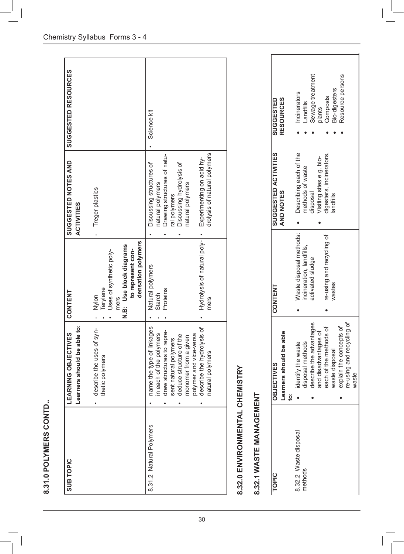| 8.31.0 POLYMERS CONTD.                                    |                                                                                                                                                                                                                     |                                                                                                                                  |                                                                                                                                             |                                                                                                          |
|-----------------------------------------------------------|---------------------------------------------------------------------------------------------------------------------------------------------------------------------------------------------------------------------|----------------------------------------------------------------------------------------------------------------------------------|---------------------------------------------------------------------------------------------------------------------------------------------|----------------------------------------------------------------------------------------------------------|
| <b>SUB TOPIC</b>                                          | Learners should be able to:<br><b>LEARNING OBJECTIVES</b>                                                                                                                                                           | CONTENT                                                                                                                          | SUGGESTED NOTES AND<br><b>ACTIVITIES</b>                                                                                                    | SUGGESTED RESOURCES                                                                                      |
|                                                           | describe the uses of syn-<br>thetic polymers<br>$\bullet$                                                                                                                                                           | densation polymers<br>Use block diagrams<br>to represent con-<br>Uses of synthetic poly-<br>Terylene<br>Nylon<br>mers<br>ia<br>Z | Treger plastics                                                                                                                             |                                                                                                          |
| 8.31.2 Natural Polymers                                   | name the type of linkages<br>draw structures to repre-<br>in each of the polymers<br>polymer and vice-versa<br>deduce structure of the<br>monomer from a given<br>sent natural polymers                             | Natural polymers<br>Proteins<br>Starch                                                                                           | Drawing structures of natu-<br>Discussing hydrolysis of<br>Discussing structures of<br>natural polymers<br>natural polymers<br>ral polymers | Science kit                                                                                              |
|                                                           | describe the hydrolysis of<br>natural polymers                                                                                                                                                                      | Hydrolysis of natural poly-<br>mers                                                                                              | drolysis of natural polymers<br>Experimenting on acid hy-<br>$\bullet$                                                                      |                                                                                                          |
| 8.32.0 ENVIRONMENTAL CHEMISTRY<br>8.32.1 WASTE MANAGEMENT |                                                                                                                                                                                                                     |                                                                                                                                  |                                                                                                                                             |                                                                                                          |
| TOPIC                                                     | Learners should be able<br><b>OBJECTIVES</b><br>$\ddot{\mathbf{e}}$                                                                                                                                                 | <b>CONTENT</b>                                                                                                                   | <b>SUGGESTED ACTIVITIES</b><br>AND NOTES                                                                                                    | <b>RESOURCES</b><br><b>SUGGESTED</b>                                                                     |
| 8.32.2 Waste disposal<br>methods                          | describe the advantages<br>re-using and recycling of<br>explain the concepts of<br>each of the methods of<br>and disadvantages of<br>disposal methods<br>identify the waste<br>waste disposal<br>waste<br>$\bullet$ | Waste disposal methods:<br>re-using and recycling of<br>incineration, landfills,<br>activated sludge<br>wastes<br>$\bullet$      | digesters, incinerators,<br>Describing each of the<br>Visiting sites e.g. bio-<br>methods of waste<br>disposal<br>andfills<br>$\bullet$     | Sewage treatment<br>Resource persons<br>Bio-digesters<br>Incinerators<br>Composts<br>Landfills<br>plants |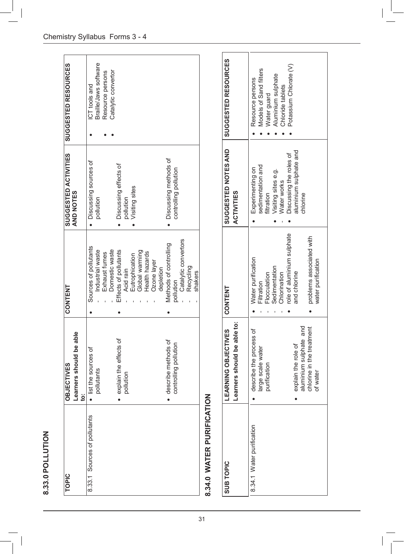| c      |
|--------|
|        |
| ິ<br>ດ |
| r      |
| C      |
|        |

| <b>TOPIC</b>                  | <b>OBJECTIVES</b>                | <b>CONTENT</b>         | SUGGESTED ACTIVITIES  | SUGGESTED RESOURCES   |
|-------------------------------|----------------------------------|------------------------|-----------------------|-----------------------|
|                               | Learners should be able<br><br>S |                        | AND NOTES             |                       |
| 8.33.1 Sources of pollutants  | • list the sources of            | Sources of pollutants  | Discussing sources of | ICT tools and         |
|                               | pollutants                       | Industrial waste       | pollution             | Braille/Jaws software |
|                               |                                  | Exhaust fumes          |                       | Resource persons      |
|                               |                                  | Domestic waste         |                       | Catalytic convertor   |
|                               | explain the effects of           | Effects of pollutants  | Discussing effects of |                       |
|                               | pollution                        | Acid rain              | pollution             |                       |
|                               |                                  | Eutrophication         | Visiting sites        |                       |
|                               |                                  | Global warming         |                       |                       |
|                               |                                  | Health hazards         |                       |                       |
|                               |                                  | Ozone layer            |                       |                       |
|                               |                                  | depletion              |                       |                       |
|                               | describe methods of              | Methods of controlling | Discussing methods of |                       |
|                               | controlling pollution            | pollution              | controlling pollution |                       |
|                               |                                  | Catalytic convertors   |                       |                       |
|                               |                                  | Recycling              |                       |                       |
|                               |                                  | shakers                |                       |                       |
| ACTES CILICENS (LIFES C.S.C.) |                                  |                        |                       |                       |

### **8.34.0 8.34.0 WATER PURIFICATION** 8.34.0 WATER PURIFICATION **8.34.0 WATER PURIFICATION**

| <b>SUGGESTED RESOURCES</b>                                | Potassium Chlorate (V)<br>Models of Sand filters<br>Aluminium sulphate<br>Resource persons<br>Chloride tablets<br>Water guard                                                     |
|-----------------------------------------------------------|-----------------------------------------------------------------------------------------------------------------------------------------------------------------------------------|
| SUGGESTED NOTES AND<br><b>ACTIVITIES</b>                  | aluminium sulphate and<br>Discussing the roles of<br>sedimentation and<br>Experimenting on<br>Visiting sites e.g.<br>Water works<br>filtration<br>chlorine                        |
| I CONTENT                                                 | role of aluminium sulphate<br>problems associated with<br>Water purification<br>water purification<br>Sedimentation<br>and chlorine<br>Chlorination<br>Flocculation<br>Filtration |
| Learners should be able to:<br><b>LEARNING OBJECTIVES</b> | chlorine in the treatment<br>aluminium sulphate and<br>describe the process of<br>explain the role of<br>large scale water<br>purification<br>of water                            |
| <b>SUB TOPIC</b>                                          | 8.34.1 Water purification                                                                                                                                                         |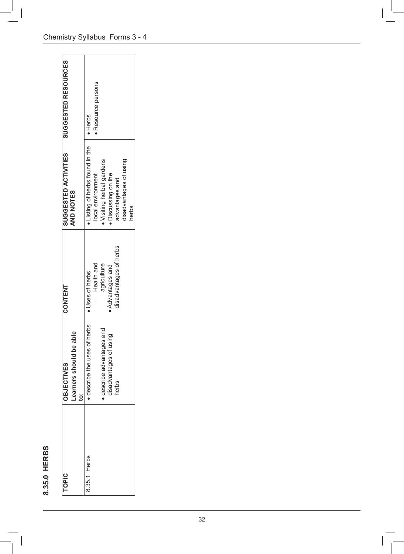| ۳ |
|---|
|   |
|   |
| r |

| <b>TOPIC</b> | <b>OBJECTIVES</b>            | <b>CONTENT</b>         | SUGGESTED ACTIVITIES          | <b>SUGGESTED RESOURCES</b> |
|--------------|------------------------------|------------------------|-------------------------------|----------------------------|
|              | Learners should be able      |                        | AND NOTES                     |                            |
|              | ë                            |                        |                               |                            |
| 8.35.1 Herbs | · describe the uses of herbs | • Uses of herbs        | Listing of herbs found in the | $\bullet$ Herbs            |
|              |                              | Health and             | local environment             | Resource persons           |
|              | describe advantages and      | agriculture            | Visiting herbal gardens       |                            |
|              | disadvantages of using       | Advantages and         | Discussing on the             |                            |
|              | herbs                        | disadvantages of herbs | advantages and                |                            |
|              |                              |                        | disadvantages of using        |                            |
|              |                              |                        | herbs                         |                            |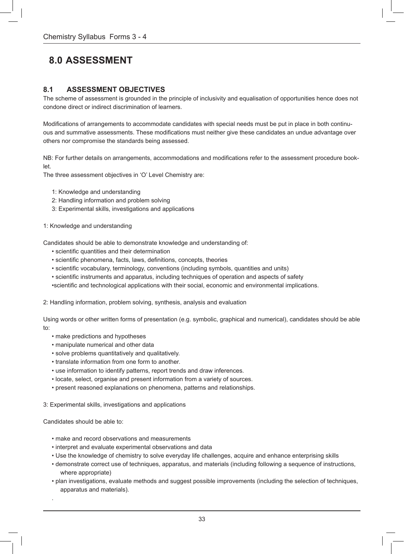### **8.0 ASSESSMENT**

#### **8.1 ASSESSMENT OBJECTIVES**

The scheme of assessment is grounded in the principle of inclusivity and equalisation of opportunities hence does not condone direct or indirect discrimination of learners.

Modifications of arrangements to accommodate candidates with special needs must be put in place in both continuous and summative assessments. These modifications must neither give these candidates an undue advantage over others nor compromise the standards being assessed.

NB: For further details on arrangements, accommodations and modifications refer to the assessment procedure booklet.

The three assessment objectives in 'O' Level Chemistry are:

- 1: Knowledge and understanding
- 2: Handling information and problem solving
- 3: Experimental skills, investigations and applications

1: Knowledge and understanding

Candidates should be able to demonstrate knowledge and understanding of:

- scientific quantities and their determination
- scientific phenomena, facts, laws, definitions, concepts, theories
- scientific vocabulary, terminology, conventions (including symbols, quantities and units)
- scientific instruments and apparatus, including techniques of operation and aspects of safety
- •scientific and technological applications with their social, economic and environmental implications.

2: Handling information, problem solving, synthesis, analysis and evaluation

Using words or other written forms of presentation (e.g. symbolic, graphical and numerical), candidates should be able to:

- make predictions and hypotheses
- manipulate numerical and other data
- solve problems quantitatively and qualitatively.
- translate information from one form to another.
- use information to identify patterns, report trends and draw inferences.
- locate, select, organise and present information from a variety of sources.
- present reasoned explanations on phenomena, patterns and relationships.
- 3: Experimental skills, investigations and applications

Candidates should be able to:

.

- make and record observations and measurements
- interpret and evaluate experimental observations and data
- Use the knowledge of chemistry to solve everyday life challenges, acquire and enhance enterprising skills
- demonstrate correct use of techniques, apparatus, and materials (including following a sequence of instructions, where appropriate)
- plan investigations, evaluate methods and suggest possible improvements (including the selection of techniques, apparatus and materials).

33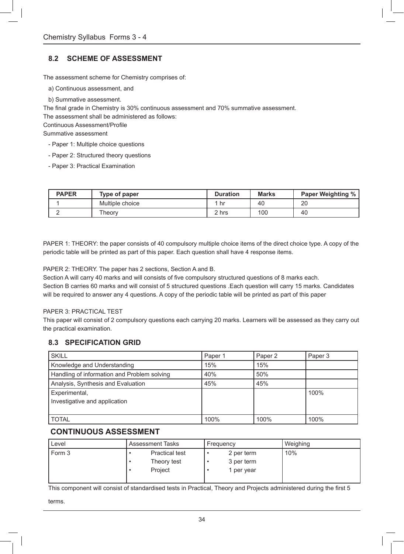#### **8.2 SCHEME OF ASSESSMENT**

The assessment scheme for Chemistry comprises of:

- a) Continuous assessment, and
- b) Summative assessment.

The final grade in Chemistry is 30% continuous assessment and 70% summative assessment.

The assessment shall be administered as follows:

Continuous Assessment/Profile

Summative assessment

- Paper 1: Multiple choice questions
- Paper 2: Structured theory questions
- Paper 3: Practical Examination

| <b>PAPER</b> | Type of paper   | <b>Duration</b>  | <b>Marks</b> | <b>Paper Weighting %</b> |
|--------------|-----------------|------------------|--------------|--------------------------|
|              | Multiple choice | . hr             | 40           | 20                       |
|              | Theory          | <sup>າ</sup> hrs | 100          | 40                       |

PAPER 1: THEORY: the paper consists of 40 compulsory multiple choice items of the direct choice type. A copy of the periodic table will be printed as part of this paper. Each question shall have 4 response items.

PAPER 2: THEORY. The paper has 2 sections, Section A and B.

Section A will carry 40 marks and will consists of five compulsory structured questions of 8 marks each. Section B carries 60 marks and will consist of 5 structured questions .Each question will carry 15 marks. Candidates will be required to answer any 4 questions. A copy of the periodic table will be printed as part of this paper

#### PAPER 3: PRACTICAL TEST

This paper will consist of 2 compulsory questions each carrying 20 marks. Learners will be assessed as they carry out the practical examination.

#### **8.3 SPECIFICATION GRID**

| <b>SKILL</b>                                | Paper 1 | Paper 2 | Paper 3 |
|---------------------------------------------|---------|---------|---------|
| Knowledge and Understanding                 | 15%     | 15%     |         |
| Handling of information and Problem solving | 40%     | 50%     |         |
| Analysis, Synthesis and Evaluation          | 45%     | 45%     |         |
| Experimental,                               |         |         | 100%    |
| Investigative and application               |         |         |         |
|                                             |         |         |         |
| <b>TOTAL</b>                                | 100%    | 100%    | 100%    |

#### **CONTINUOUS ASSESSMENT**

| Level  | <b>Assessment Tasks</b> | Frequency  | Weighing |
|--------|-------------------------|------------|----------|
| Form 3 | <b>Practical test</b>   | 2 per term | 10%      |
|        | Theory test             | 3 per term |          |
|        | Project                 | I per year |          |
|        |                         |            |          |

This component will consist of standardised tests in Practical, Theory and Projects administered during the first 5

terms.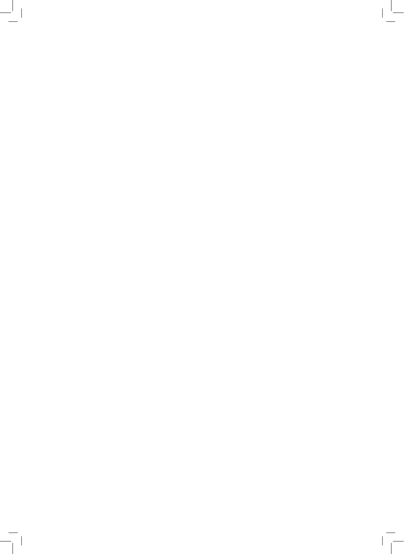$\frac{1}{\sqrt{2}}$  $\frac{1}{1}$ 

 $\frac{1}{\sqrt{1-\frac{1}{2}}}$ 

 $\frac{1}{\sqrt{1-\frac{1}{2}}}\Bigg|_{\frac{1}{2}}$